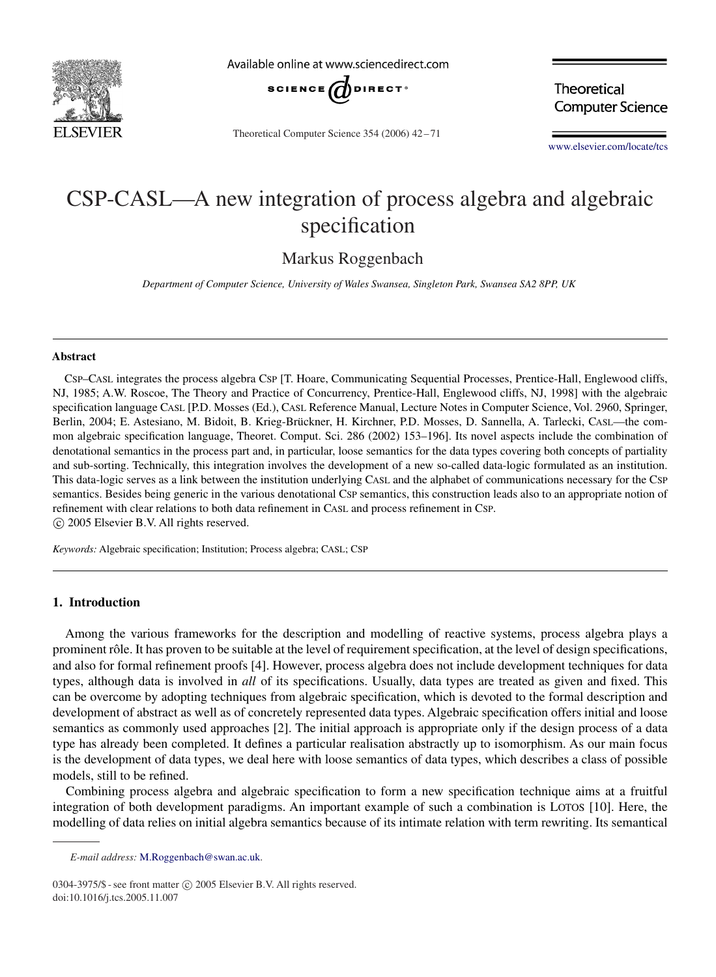

Available online at www.sciencedirect.com



Theoretical Computer Science 354 (2006) 42 – 71

**Theoretical** Computer Science

[www.elsevier.com/locate/tcs](http://www.elsevier.com/locate/tcs)

# CSP-CASL—A new integration of process algebra and algebraic specification

Markus Roggenbach

*Department of Computer Science, University of Wales Swansea, Singleton Park, Swansea SA2 8PP, UK*

#### **Abstract**

CSP–CASL integrates the process algebra CSP [T. Hoare, Communicating Sequential Processes, Prentice-Hall, Englewood cliffs, NJ, 1985; A.W. Roscoe, The Theory and Practice of Concurrency, Prentice-Hall, Englewood cliffs, NJ, 1998] with the algebraic specification language CASL [P.D. Mosses (Ed.), CASL Reference Manual, Lecture Notes in Computer Science, Vol. 2960, Springer, Berlin, 2004; E. Astesiano, M. Bidoit, B. Krieg-Brückner, H. Kirchner, P.D. Mosses, D. Sannella, A. Tarlecki, CASL—the common algebraic specification language, Theoret. Comput. Sci. 286 (2002) 153–196]. Its novel aspects include the combination of denotational semantics in the process part and, in particular, loose semantics for the data types covering both concepts of partiality and sub-sorting. Technically, this integration involves the development of a new so-called data-logic formulated as an institution. This data-logic serves as a link between the institution underlying CASL and the alphabet of communications necessary for the CSP semantics. Besides being generic in the various denotational CSP semantics, this construction leads also to an appropriate notion of refinement with clear relations to both data refinement in CASL and process refinement in CSP.

c 2005 Elsevier B.V. All rights reserved.

*Keywords:* Algebraic specification; Institution; Process algebra; CASL; CSP

### **1. Introduction**

Among the various frameworks for the description and modelling of reactive systems, process algebra plays a prominent rôle. It has proven to be suitable at the level of requirement specification, at the level of design specifications, and also for formal refinement proofs [\[4\].](#page-29-0) However, process algebra does not include development techniques for data types, although data is involved in *all* of its specifications. Usually, data types are treated as given and fixed. This can be overcome by adopting techniques from algebraic specification, which is devoted to the formal description and development of abstract as well as of concretely represented data types. Algebraic specification offers initial and loose semantics as commonly used approaches [\[2\].](#page-29-0) The initial approach is appropriate only if the design process of a data type has already been completed. It defines a particular realisation abstractly up to isomorphism. As our main focus is the development of data types, we deal here with loose semantics of data types, which describes a class of possible models, still to be refined.

Combining process algebra and algebraic specification to form a new specification technique aims at a fruitful integration of both development paradigms. An important example of such a combination is LOTOS [\[10\].](#page-29-0) Here, the modelling of data relies on initial algebra semantics because of its intimate relation with term rewriting. Its semantical

*E-mail address:* [M.Roggenbach@swan.ac.uk.](mailto:M.Roggenbach@swan.ac.uk)

<sup>0304-3975/\$ -</sup> see front matter  $\circ$  2005 Elsevier B.V. All rights reserved. doi:10.1016/j.tcs.2005.11.007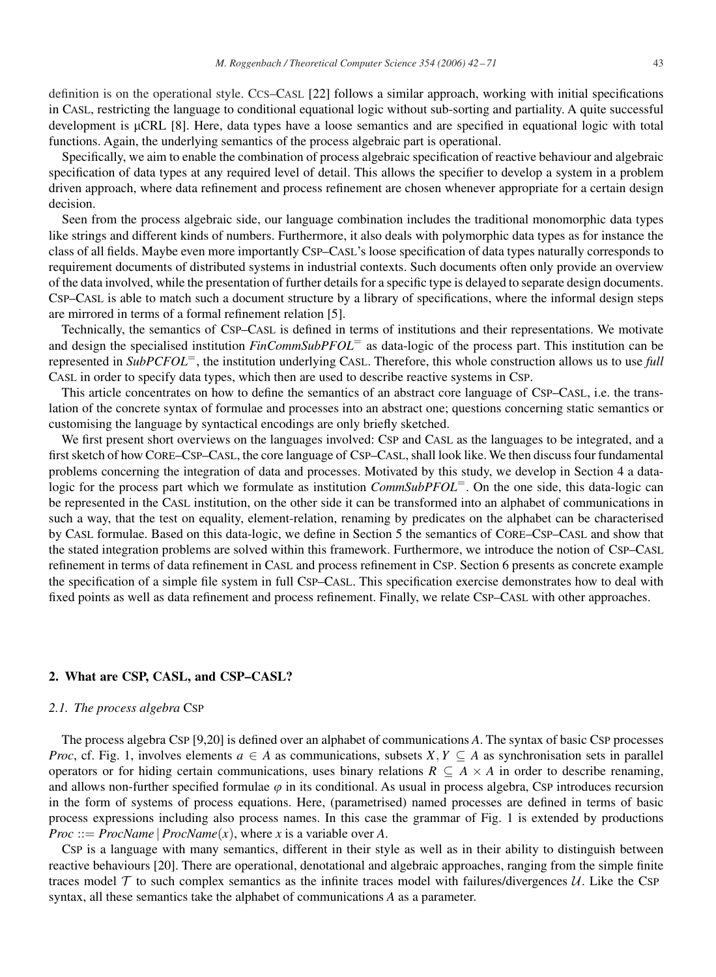definition is on the operational style. CCS–CASL [\[22\]](#page-29-0) follows a similar approach, working with initial specifications in CASL, restricting the language to conditional equational logic without sub-sorting and partiality. A quite successful development is  $\mu$ CRL [\[8\].](#page-29-0) Here, data types have a loose semantics and are specified in equational logic with total functions. Again, the underlying semantics of the process algebraic part is operational.

Specifically, we aim to enable the combination of process algebraic specification of reactive behaviour and algebraic specification of data types at any required level of detail. This allows the specifier to develop a system in a problem driven approach, where data refinement and process refinement are chosen whenever appropriate for a certain design decision.

Seen from the process algebraic side, our language combination includes the traditional monomorphic data types like strings and different kinds of numbers. Furthermore, it also deals with polymorphic data types as for instance the class of all fields. Maybe even more importantly CSP–CASL's loose specification of data types naturally corresponds to requirement documents of distributed systems in industrial contexts. Such documents often only provide an overview of the data involved, while the presentation of further details for a specific type is delayed to separate design documents. CSP–CASL is able to match such a document structure by a library of specifications, where the informal design steps are mirrored in terms of a formal refinement relation [\[5\].](#page-29-0)

Technically, the semantics of CSP–CASL is defined in terms of institutions and their representations. We motivate and design the specialised institution *FinCommSubPFOL*<sup>=</sup> as data-logic of the process part. This institution can be represented in *SubPCFOL*<sup>=</sup>, the institution underlying CASL. Therefore, this whole construction allows us to use *full* CASL in order to specify data types, which then are used to describe reactive systems in CSP.

This article concentrates on how to define the semantics of an abstract core language of CSP–CASL, i.e. the translation of the concrete syntax of formulae and processes into an abstract one; questions concerning static semantics or customising the language by syntactical encodings are only briefly sketched.

We first present short overviews on the languages involved: CSP and CASL as the languages to be integrated, and a first sketch of how CORE–CSP–CASL, the core language of CSP–CASL, shall look like.We then discuss four fundamental problems concerning the integration of data and processes. Motivated by this study, we develop in Section [4](#page-5-0) a datalogic for the process part which we formulate as institution *CommSubPFOL*<sup>=</sup>. On the one side, this data-logic can be represented in the CASL institution, on the other side it can be transformed into an alphabet of communications in such a way, that the test on equality, element-relation, renaming by predicates on the alphabet can be characterised by CASL formulae. Based on this data-logic, we define in Section [5](#page-17-0) the semantics of CORE–CSP–CASL and show that the stated integration problems are solved within this framework. Furthermore, we introduce the notion of CSP–CASL refinement in terms of data refinement in CASL and process refinement in CSP. Section [6](#page-25-0) presents as concrete example the specification of a simple file system in full CSP–CASL. This specification exercise demonstrates how to deal with fixed points as well as data refinement and process refinement. Finally, we relate CSP–CASL with other approaches.

#### **2. What are CSP, CASL, and CSP–CASL?**

#### *2.1. The process algebra* CSP

The process algebra CSP [\[9,20\]](#page-29-0) is defined over an alphabet of communications *A*. The syntax of basic CSP processes *Proc*, cf. Fig. [1,](#page-2-0) involves elements  $a \in A$  as communications, subsets  $X, Y \subseteq A$  as synchronisation sets in parallel operators or for hiding certain communications, uses binary relations  $R \subseteq A \times A$  in order to describe renaming, and allows non-further specified formulae  $\varphi$  in its conditional. As usual in process algebra, CSP introduces recursion in the form of systems of process equations. Here, (parametrised) named processes are defined in terms of basic process expressions including also process names. In this case the grammar of Fig. [1](#page-2-0) is extended by productions *Proc* ::= *ProcName* | *ProcName*(*x*), where *x* is a variable over *A*.

CSP is a language with many semantics, different in their style as well as in their ability to distinguish between reactive behaviours [\[20\].](#page-29-0) There are operational, denotational and algebraic approaches, ranging from the simple finite traces model  $\mathcal T$  to such complex semantics as the infinite traces model with failures/divergences  $\mathcal U$ . Like the CSP syntax, all these semantics take the alphabet of communications *A* as a parameter.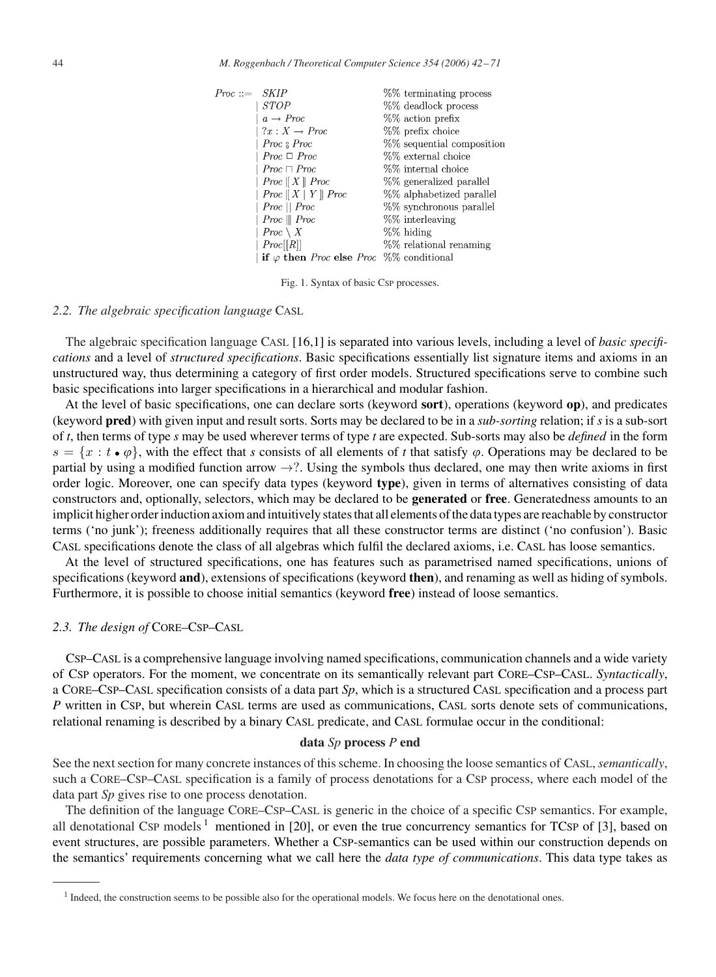<span id="page-2-0"></span>

| $Proc ::= SKIP$ |                                                               | %% terminating process    |
|-----------------|---------------------------------------------------------------|---------------------------|
|                 | <i>STOP</i>                                                   | %% deadlock process       |
|                 | $a \rightarrow Proc$                                          | %% action prefix          |
|                 | $?x: X \rightarrow Proc$                                      | %% prefix choice          |
|                 | <i>Proc</i> & <i>Proc</i>                                     | %% sequential composition |
|                 | $Proc \square Proc$                                           | %% external choice        |
|                 | $Proc \sqcap Proc$                                            | %% internal choice        |
|                 | $Proc \parallel X \parallel Proc$                             | %% generalized parallel   |
|                 | $Proc \parallel X \parallel Y \parallel Proc$                 | %% alphabetized parallel  |
|                 | $Proc \parallel Proc$                                         | %% synchronous parallel   |
|                 | $Proc \parallel Proc$                                         | %% interleaving           |
|                 | $Proc \setminus X$                                            | %% hiding                 |
|                 | Proc[[R]]                                                     | %% relational renaming    |
|                 | if $\varphi$ then <i>Proc</i> else <i>Proc</i> %% conditional |                           |
|                 |                                                               |                           |

Fig. 1. Syntax of basic CSP processes.

#### *2.2. The algebraic specification language* CASL

The algebraic specification language CASL [\[16,1\]](#page-29-0) is separated into various levels, including a level of *basic specifications* and a level of *structured specifications*. Basic specifications essentially list signature items and axioms in an unstructured way, thus determining a category of first order models. Structured specifications serve to combine such basic specifications into larger specifications in a hierarchical and modular fashion.

At the level of basic specifications, one can declare sorts (keyword **sort**), operations (keyword **op**), and predicates (keyword **pred**) with given input and result sorts. Sorts may be declared to be in a *sub-sorting* relation; if *s* is a sub-sort of *t*, then terms of type *s* may be used wherever terms of type *t* are expected. Sub-sorts may also be *defined* in the form  $s = \{x : t \cdot \varphi\}$ , with the effect that *s* consists of all elements of *t* that satisfy  $\varphi$ . Operations may be declared to be partial by using a modified function arrow  $\rightarrow$ ?. Using the symbols thus declared, one may then write axioms in first order logic. Moreover, one can specify data types (keyword **type**), given in terms of alternatives consisting of data constructors and, optionally, selectors, which may be declared to be **generated** or **free**. Generatedness amounts to an implicit higher order induction axiom and intuitively states that all elements of the data types are reachable by constructor terms ('no junk'); freeness additionally requires that all these constructor terms are distinct ('no confusion'). Basic CASL specifications denote the class of all algebras which fulfil the declared axioms, i.e. CASL has loose semantics.

At the level of structured specifications, one has features such as parametrised named specifications, unions of specifications (keyword **and**), extensions of specifications (keyword **then**), and renaming as well as hiding of symbols. Furthermore, it is possible to choose initial semantics (keyword **free**) instead of loose semantics.

#### *2.3. The design of* CORE*–*CSP*–*CASL

CSP–CASL is a comprehensive language involving named specifications, communication channels and a wide variety of CSP operators. For the moment, we concentrate on its semantically relevant part CORE–CSP–CASL. *Syntactically*, a CORE–CSP–CASL specification consists of a data part *Sp*, which is a structured CASL specification and a process part *P* written in CSP, but wherein CASL terms are used as communications, CASL sorts denote sets of communications, relational renaming is described by a binary CASL predicate, and CASL formulae occur in the conditional:

#### **data** *Sp* **process** *P* **end**

See the next section for many concrete instances of this scheme. In choosing the loose semantics of CASL,*semantically*, such a CORE–CSP–CASL specification is a family of process denotations for a CSP process, where each model of the data part *Sp* gives rise to one process denotation.

The definition of the language CORE–CSP–CASL is generic in the choice of a specific CSP semantics. For example, all denotational CSP models<sup>1</sup> mentioned in [\[20\],](#page-29-0) or even the true concurrency semantics for TCSP of [\[3\],](#page-29-0) based on event structures, are possible parameters. Whether a CSP-semantics can be used within our construction depends on the semantics' requirements concerning what we call here the *data type of communications*. This data type takes as

 $<sup>1</sup>$  Indeed, the construction seems to be possible also for the operational models. We focus here on the denotational ones.</sup>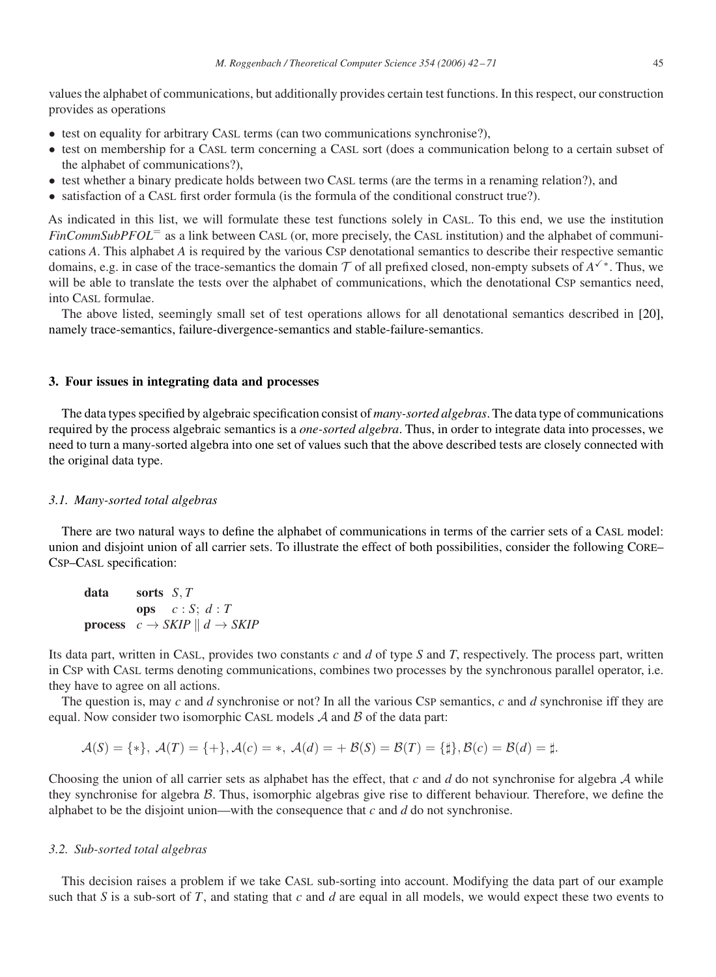<span id="page-3-0"></span>values the alphabet of communications, but additionally provides certain test functions. In this respect, our construction provides as operations

- test on equality for arbitrary CASL terms (can two communications synchronise?),
- test on membership for a CASL term concerning a CASL sort (does a communication belong to a certain subset of the alphabet of communications?),
- test whether a binary predicate holds between two CASL terms (are the terms in a renaming relation?), and
- satisfaction of a CASL first order formula (is the formula of the conditional construct true?).

As indicated in this list, we will formulate these test functions solely in CASL. To this end, we use the institution *FinCommSubPFOL*<sup>=</sup> as a link between CASL (or, more precisely, the CASL institution) and the alphabet of communications *A*. This alphabet *A* is required by the various CSP denotational semantics to describe their respective semantic domains, e.g. in case of the trace-semantics the domain  $T$  of all prefixed closed, non-empty subsets of  $A^{\checkmark}$ . Thus, we will be able to translate the tests over the alphabet of communications, which the denotational CSP semantics need, into CASL formulae.

The above listed, seemingly small set of test operations allows for all denotational semantics described in [\[20\],](#page-29-0) namely trace-semantics, failure-divergence-semantics and stable-failure-semantics.

# **3. Four issues in integrating data and processes**

The data types specified by algebraic specification consist of *many-sorted algebras*. The data type of communications required by the process algebraic semantics is a *one-sorted algebra*. Thus, in order to integrate data into processes, we need to turn a many-sorted algebra into one set of values such that the above described tests are closely connected with the original data type.

#### *3.1. Many-sorted total algebras*

There are two natural ways to define the alphabet of communications in terms of the carrier sets of a CASL model: union and disjoint union of all carrier sets. To illustrate the effect of both possibilities, consider the following CORE– CSP–CASL specification:

**data sorts** *<sup>S</sup>, <sup>T</sup>* **ops** *c* : *S*; *d* : *T* **process**  $c \rightarrow SKIP \parallel d \rightarrow SKIP$ 

Its data part, written in CASL, provides two constants *c* and *d* of type *S* and *T*, respectively. The process part, written in CSP with CASL terms denoting communications, combines two processes by the synchronous parallel operator, i.e. they have to agree on all actions.

The question is, may *c* and *d* synchronise or not? In all the various CSP semantics, *c* and *d* synchronise iff they are equal. Now consider two isomorphic CASL models  $A$  and  $B$  of the data part:

$$
\mathcal{A}(S) = \{*\}, \ \mathcal{A}(T) = \{+\}, \mathcal{A}(c) = *, \ \mathcal{A}(d) = +\mathcal{B}(S) = \mathcal{B}(T) = \{\sharp\}, \mathcal{B}(c) = \mathcal{B}(d) = \sharp.
$$

Choosing the union of all carrier sets as alphabet has the effect, that  $c$  and  $d$  do not synchronise for algebra  $A$  while they synchronise for algebra  $\beta$ . Thus, isomorphic algebras give rise to different behaviour. Therefore, we define the alphabet to be the disjoint union—with the consequence that *c* and *d* do not synchronise.

#### *3.2. Sub-sorted total algebras*

This decision raises a problem if we take CASL sub-sorting into account. Modifying the data part of our example such that *S* is a sub-sort of *T*, and stating that *c* and *d* are equal in all models, we would expect these two events to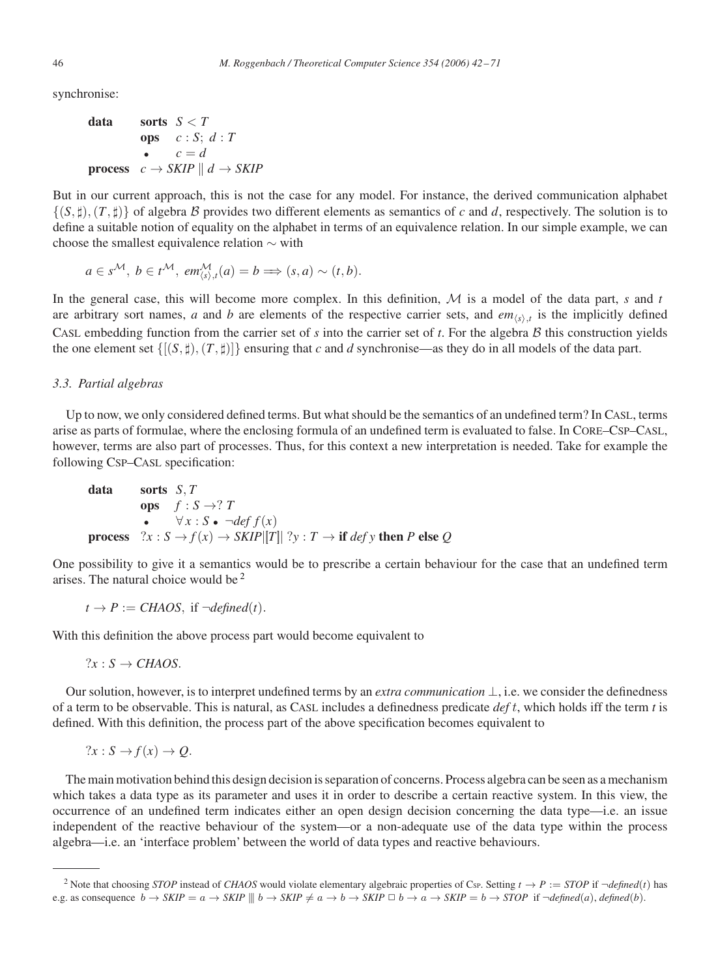<span id="page-4-0"></span>synchronise:

| data    | sorts                                             | $S < T$ |
|---------|---------------------------------------------------|---------|
| ops     | $c : S; d : T$                                    |         |
| •       | $c = d$                                           |         |
| process | $c \rightarrow SKIP \parallel d \rightarrow SKIP$ |         |

But in our current approach, this is not the case for any model. For instance, the derived communication alphabet  $\{(S, \sharp), (T, \sharp)\}\$  of algebra B provides two different elements as semantics of *c* and *d*, respectively. The solution is to define a suitable notion of equality on the alphabet in terms of an equivalence relation. In our simple example, we can choose the smallest equivalence relation ∼ with

$$
a \in s^{\mathcal{M}}, b \in t^{\mathcal{M}}, em_{\langle s \rangle,t}^{\mathcal{M}}(a) = b \Longrightarrow (s,a) \sim (t,b).
$$

In the general case, this will become more complex. In this definition, M is a model of the data part, *s* and *t* are arbitrary sort names, *a* and *b* are elements of the respective carrier sets, and  $em_{(s),t}$  is the implicitly defined CASL embedding function from the carrier set of  $s$  into the carrier set of  $t$ . For the algebra  $\beta$  this construction yields the one element set  $\{[(S, \sharp), (T, \sharp)]\}$  ensuring that *c* and *d* synchronise—as they do in all models of the data part.

# *3.3. Partial algebras*

Up to now, we only considered defined terms. But what should be the semantics of an undefined term? In CASL, terms arise as parts of formulae, where the enclosing formula of an undefined term is evaluated to false. In CORE–CSP–CASL, however, terms are also part of processes. Thus, for this context a new interpretation is needed. Take for example the following CSP–CASL specification:

| data    | sorts                                                                                                                         | $S, T$ |
|---------|-------------------------------------------------------------------------------------------------------------------------------|--------|
| ops     | $f : S \rightarrow ? T$                                                                                                       |        |
| •       | $\forall x : S \bullet \neg \text{def } f(x)$                                                                                 |        |
| process | $?x : S \rightarrow f(x) \rightarrow SKIP   T   ? y : T \rightarrow \text{if } \text{def } y \text{ then } P \text{ else } Q$ |        |

One possibility to give it a semantics would be to prescribe a certain behaviour for the case that an undefined term arises. The natural choice would be <sup>2</sup>

$$
t \rightarrow P := \text{CHAOS}, \text{ if } \neg \text{defined}(t).
$$

With this definition the above process part would become equivalent to

 $?x : S \rightarrow CHAOS$ .

Our solution, however, is to interpret undefined terms by an *extra communication* ⊥, i.e. we consider the definedness of a term to be observable. This is natural, as CASL includes a definedness predicate *def t*, which holds iff the term *<sup>t</sup>* is defined. With this definition, the process part of the above specification becomes equivalent to

 $?x : S \rightarrow f(x) \rightarrow Q$ .

The main motivation behind this design decision is separation of concerns. Process algebra can be seen as a mechanism which takes a data type as its parameter and uses it in order to describe a certain reactive system. In this view, the occurrence of an undefined term indicates either an open design decision concerning the data type—i.e. an issue independent of the reactive behaviour of the system—or a non-adequate use of the data type within the process algebra—i.e. an 'interface problem' between the world of data types and reactive behaviours.

<sup>&</sup>lt;sup>2</sup> Note that choosing *STOP* instead of *CHAOS* would violate elementary algebraic properties of Csp. Setting  $t \rightarrow P := STOP$  if  $\neg \text{defined}(t)$  has e.g. as consequence  $b \rightarrow \text{SKIP} = a \rightarrow \text{SKIP} \parallel b \rightarrow \text{SKIP} \neq a \rightarrow b \rightarrow \text{SKIP} \sqcup b \rightarrow a \rightarrow \text{SKIP} = b \rightarrow \text{STOP if } \neg \text{defined}(a), \text{ defined}(b).$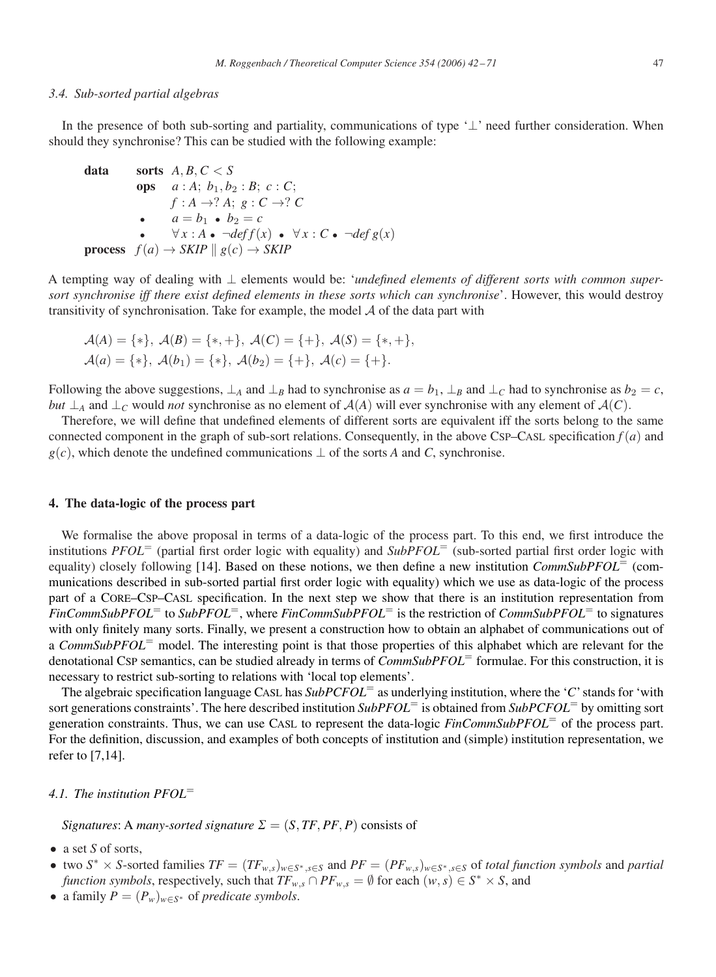#### <span id="page-5-0"></span>*3.4. Sub-sorted partial algebras*

In the presence of both sub-sorting and partiality, communications of type '⊥' need further consideration. When should they synchronise? This can be studied with the following example:

data sorts 
$$
A, B, C < S
$$
  
\nops  $a : A; b_1, b_2 : B; c : C;$   
\n $f : A \rightarrow ? A; g : C \rightarrow ? C$   
\n•  $a = b_1 \cdot b_2 = c$   
\n•  $\forall x : A \cdot \neg def f(x) \cdot \forall x : C \cdot \neg def g(x)$   
\nprocess  $f(a) \rightarrow SKIP \parallel g(c) \rightarrow SKIP$ 

A tempting way of dealing with ⊥ elements would be: '*undefined elements of different sorts with common supersort synchronise iff there exist defined elements in these sorts which can synchronise*'. However, this would destroy transitivity of synchronisation. Take for example, the model A of the data part with

$$
\mathcal{A}(A) = \{*\}, \ \mathcal{A}(B) = \{*, +\}, \ \mathcal{A}(C) = \{+\}, \ \mathcal{A}(S) = \{*, +\}, \mathcal{A}(a) = \{*\}, \ \mathcal{A}(b_1) = \{*\}, \ \mathcal{A}(b_2) = \{+\}, \ \mathcal{A}(c) = \{+\}.
$$

Following the above suggestions,  $\perp_A$  and  $\perp_B$  had to synchronise as  $a = b_1$ ,  $\perp_B$  and  $\perp_C$  had to synchronise as  $b_2 = c$ , *but* ⊥<sub>*A*</sub> and ⊥<sub>*C*</sub> would *not* synchronise as no element of  $A(A)$  will ever synchronise with any element of  $A(C)$ *.* 

Therefore, we will define that undefined elements of different sorts are equivalent iff the sorts belong to the same connected component in the graph of sub-sort relations. Consequently, in the above CSP–CASL specification  $f(a)$  and  $g(c)$ , which denote the undefined communications  $\perp$  of the sorts *A* and *C*, synchronise.

#### **4. The data-logic of the process part**

We formalise the above proposal in terms of a data-logic of the process part. To this end, we first introduce the institutions *PFOL*<sup>=</sup> (partial first order logic with equality) and *SubPFOL*<sup>=</sup> (sub-sorted partial first order logic with equality) closely following [\[14\].](#page-29-0) Based on these notions, we then define a new institution *CommSubPFOL*<sup>=</sup> (communications described in sub-sorted partial first order logic with equality) which we use as data-logic of the process part of a CORE–CSP–CASL specification. In the next step we show that there is an institution representation from *FinCommSubPFOL*<sup>=</sup> to *SubPFOL*<sup>=</sup>, where *FinCommSubPFOL*<sup>=</sup> is the restriction of *CommSubPFOL*<sup>=</sup> to signatures with only finitely many sorts. Finally, we present a construction how to obtain an alphabet of communications out of a *CommSubPFOL*<sup>=</sup> model. The interesting point is that those properties of this alphabet which are relevant for the denotational CSP semantics, can be studied already in terms of *CommSubPFOL*<sup>=</sup> formulae. For this construction, it is necessary to restrict sub-sorting to relations with 'local top elements'.

The algebraic specification language CASL has *SubPCFOL*<sup>=</sup> as underlying institution, where the '*C*' stands for 'with sort generations constraints'. The here described institution *SubPFOL*<sup>=</sup> is obtained from *SubPCFOL*<sup>=</sup> by omitting sort generation constraints. Thus, we can use CASL to represent the data-logic *FinCommSubPFOL*<sup>=</sup> of the process part. For the definition, discussion, and examples of both concepts of institution and (simple) institution representation, we refer to [\[7,14\].](#page-29-0)

# *4.1. The institution PFOL*<sup>=</sup>

*Signatures*: A *many-sorted signature*  $\Sigma = (S, TF, PF, P)$  consists of

- a set *S* of sorts.
- two  $S^* \times S$ -sorted families  $TF = (TF_{w,s})_{w \in S^*, s \in S}$  and  $PF = (PF_{w,s})_{w \in S^*, s \in S}$  of total function symbols and partial *function symbols*, respectively, such that  $TF_{w,s} \cap PF_{w,s} = \emptyset$  for each  $(w, s) \in S^* \times S$ , and
- a family  $P = (P_w)_{w \in S^*}$  of *predicate symbols*.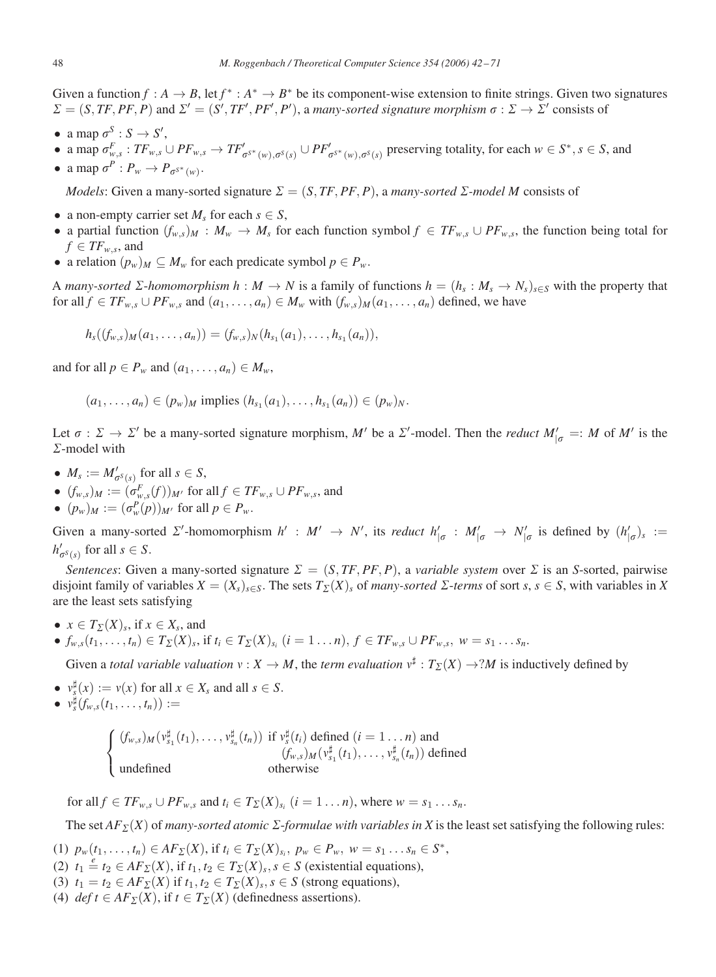Given a function  $f : A \to B$ , let  $f^* : A^* \to B^*$  be its component-wise extension to finite strings. Given two signatures  $\Sigma = (S, TF, PF, P)$  and  $\Sigma' = (S', TF', PF', P')$ , a *many-sorted signature morphism*  $\sigma : \Sigma \to \Sigma'$  consists of

- a map  $\sigma^S : S \to S'$ ,
- a map  $\sigma_{w,s}^F : TF_{w,s} \cup PF_{w,s} \to TF'_{\sigma^{S^*}(w),\sigma^S(s)} \cup PF'_{\sigma^{S^*}(w),\sigma^S(s)}$  preserving totality, for each  $w \in S^*, s \in S$ , and • a map  $\sigma^P: P_w \to P_{\sigma^{S^*}(w)}$ .

*Models*: Given a many-sorted signature  $\Sigma = (S, TF, PF, P)$ , a *many-sorted*  $\Sigma$ -*model M* consists of

- a non-empty carrier set  $M_s$  for each  $s \in S$ ,
- a partial function  $(f_{w,s})_M : M_w \to M_s$  for each function symbol  $f \in TF_{w,s} \cup PF_{w,s}$ , the function being total for  $f \in TF_{w,s}$ , and
- a relation  $(p_w)_M \subseteq M_w$  for each predicate symbol  $p \in P_w$ .

 $A$  *many-sorted*  $\Sigma$ -*homomorphism*  $h : M \to N$  is a family of functions  $h = (h_s : M_s \to N_s)_{s \in S}$  with the property that for all  $f \in TF_{w,s} \cup PF_{w,s}$  and  $(a_1, \ldots, a_n) \in M_w$  with  $(f_{w,s})_M(a_1, \ldots, a_n)$  defined, we have

$$
h_s((f_{w,s})_M(a_1,\ldots,a_n))=(f_{w,s})_N(h_{s_1}(a_1),\ldots,h_{s_1}(a_n)),
$$

and for all  $p \in P_w$  and  $(a_1, \ldots, a_n) \in M_w$ ,

$$
(a_1,..., a_n) \in (p_w)_M
$$
 implies  $(h_{s_1}(a_1),..., h_{s_1}(a_n)) \in (p_w)_N$ .

Let  $\sigma : \Sigma \to \Sigma'$  be a many-sorted signature morphism, M' be a  $\Sigma'$ -model. Then the *reduct*  $M'_{|\sigma} =: M$  of M' is the  $\Sigma$ -model with

- $M_s := M'_{\sigma^S(s)}$  for all  $s \in S$ ,
- $(f_{w,s})_M := (\sigma_{w,s}^F(f))_{M'}$  for all  $f \in TF_{w,s} \cup PF_{w,s}$ , and
- $(p_w)_M := (\sigma_w^P(p))_{M'}$  for all  $p \in P_w$ .

Given a many-sorted  $\Sigma'$ -homomorphism  $h' : M' \to N'$ , its *reduct*  $h'_{|\sigma} : M'_{|\sigma} \to N'_{|\sigma}$  is defined by  $(h'_{|\sigma})_s :=$  $h'_{\sigma^S(s)}$  for all  $s \in S$ *.* 

*Sentences*: Given a many-sorted signature  $\Sigma = (S, TF, PF, P)$ , a *variable system* over  $\Sigma$  is an *S*-sorted, pairwise isoint family of variables  $X - (X)$  as The sets  $T_S(X)$  of many-sorted  $\Sigma$ -terms of sort  $s, s \in S$ , with va disjoint family of variables  $X = (X_s)_{s \in S}$ . The sets  $T_{\Sigma}(X)_{s}$  of *many-sorted*  $\Sigma$ -terms of sort  $s, s \in S$ , with variables in  $X$ are the least sets satisfying

- $x \in T_{\Sigma}(X)_{s}$ , if  $x \in X_{s}$ , and
- $f_{w,s}(t_1,\ldots,t_n) \in T_{\Sigma}(X)_s$ , if  $t_i \in T_{\Sigma}(X)_{s_i}$   $(i = 1 \ldots n)$ ,  $f \in TF_{w,s} \cup PF_{w,s}$ ,  $w = s_1 \ldots s_n$ .

Given a *total variable valuation*  $v : X \to M$ , the *term evaluation*  $v^{\sharp} : T_{\Sigma}(X) \to ?M$  is inductively defined by

- $v_s^{\sharp}(x) := v(x)$  for all  $x \in X_s$  and all  $s \in S$ .
- $v_s^{\sharp}(f_{w,s}(t_1,...,t_n)) :=$

 $\sqrt{ }$  $\overline{J}$  $\sqrt{2}$  $(f_{w,s})_M(v_{s_1}^{\sharp}(t_1),...,v_{s_n}^{\sharp}(t_n))$  if  $v_s^{\sharp}(t_i)$  defined  $(i = 1...n)$  and<br> $(f_{w,s})_M(v_{s_1}^{\sharp}(t_1),...,v_{s_n}^{\sharp}(t_n))$  defined<br>undefined otherwise undefined otherwise

for all  $f \in TF_{w,s} \cup PF_{w,s}$  and  $t_i \in T_{\Sigma}(X)_{s_i}$   $(i = 1 \dots n)$ , where  $w = s_1 \dots s_n$ .

The set  $AF_\Sigma(X)$  of *many-sorted atomic*  $\Sigma$ -*formulae with variables in X* is the least set satisfying the following rules:

- (1)  $p_w(t_1, \ldots, t_n) \in AF_{\Sigma}(X)$ , if  $t_i \in T_{\Sigma}(X)_{s_i}, p_w \in P_w, w = s_1 \ldots s_n \in S^*,$ <br>(2)  $t \in T_{\Sigma}(X)$  if  $t \in T_{\Sigma}(X) \subseteq S$  (overtential equations)
- (2)  $t_1 \stackrel{e}{=} t_2 \in AF_\Sigma(X)$ , if  $t_1, t_2 \in T_\Sigma(X)$ ,  $s \in S$  (existential equations),<br>(3)  $t_1 = t_2 \in AF_\Sigma(X)$  if  $t_1, t_2 \in T_\Sigma(X)$ ,  $s \in S$  (strong equations)
- (3)  $t_1 = t_2 \in AF_\Sigma(X)$  if  $t_1, t_2 \in T_\Sigma(X)$ ,  $s \in S$  (strong equations),<br>(4)  $\det t \in AF_\Sigma(X)$  if  $t \in T_\Sigma(X)$  (definedness assertions)
- (4) *def t*  $\in$  *AF*<sub> $\Sigma$ </sub>(*X*), if *t*  $\in$  *T*<sub> $\Sigma$ </sub>(*X*) (definedness assertions).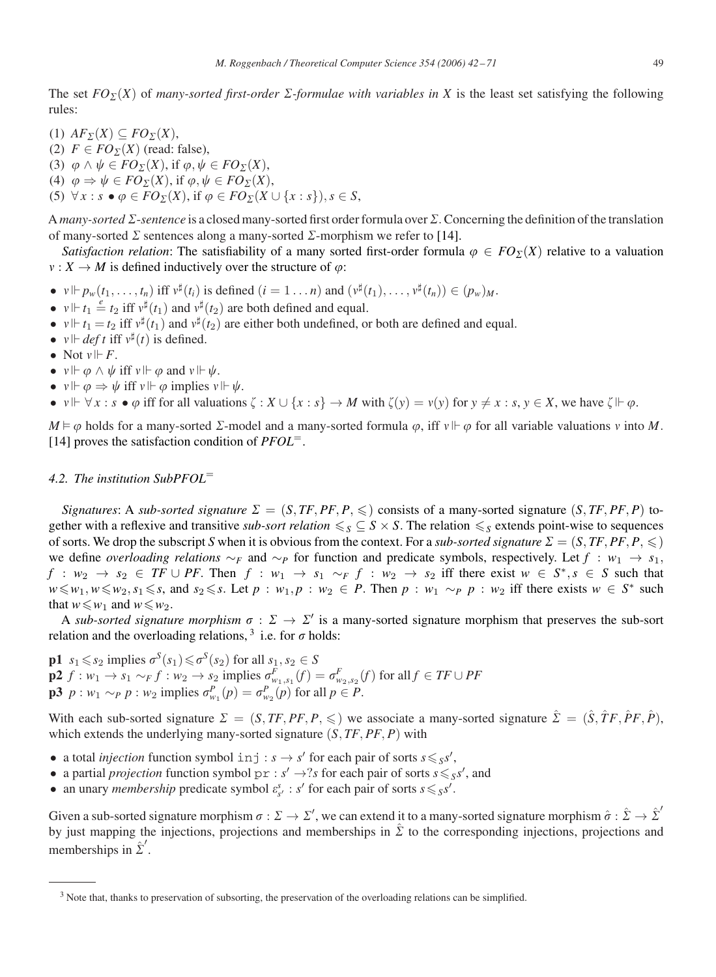<span id="page-7-0"></span>The set  $FO_{\Sigma}(X)$  of *many-sorted first-order*  $\Sigma$ -formulae with variables in X is the least set satisfying the following rules:

- (1)  $AF_{\Sigma}(X) \subseteq FO_{\Sigma}(X)$ ,
- (2)  $F \in FO_{\Sigma}(X)$  (read: false),
- (3)  $\varphi \wedge \psi \in FO_{\Sigma}(X)$ , if  $\varphi, \psi \in FO_{\Sigma}(X)$ ,<br>(4)  $\varphi \rightarrow \psi \in EO_{\Sigma}(X)$  if  $\varphi, \psi \in EO_{\Sigma}(X)$
- (4)  $\varphi \Rightarrow \psi \in FO_{\Sigma}(X)$ , if  $\varphi, \psi \in FO_{\Sigma}(X)$ ,<br>(5)  $\forall x : s \bullet \varphi \in FO_{\Sigma}(X)$  if  $\varphi \in FO_{\Sigma}(X)$
- (5) ∀ *x* : *s*  $\bullet \varphi \in FO_{\Sigma}(X)$ , if  $\varphi \in FO_{\Sigma}(X \cup \{x : s\}), s \in S$ ,

A *many-sorted*  $\Sigma$ -*sentence* is a closed many-sorted first order formula over  $\Sigma$ . Concerning the definition of the translation of many-sorted  $\Sigma$  sentences along a many-sorted  $\Sigma$ -morphism we refer to [14] of many-sorted  $\Sigma$  sentences along a many-sorted  $\Sigma$ -morphism we refer to [\[14\].](#page-29-0)

*Satisfaction relation*: The satisfiability of a many sorted first-order formula  $\varphi \in FO_\Sigma(X)$  relative to a valuation  $v: X \to M$  is defined inductively over the structure of  $\varphi$ :

- $v \Vdash p_w(t_1, \ldots, t_n)$  iff  $v^{\sharp}(t_i)$  is defined  $(i = 1 \ldots n)$  and  $(v^{\sharp}(t_1), \ldots, v^{\sharp}(t_n)) \in (p_w)_M$ .
- $v \Vdash t_1 \stackrel{e}{=} t_2$  iff  $v^{\sharp}(t_1)$  and  $v^{\sharp}(t_2)$  are both defined and equal.
- $v \Vdash t_1 = t_2$  iff  $v^{\sharp}(t_1)$  and  $v^{\sharp}(t_2)$  are either both undefined, or both are defined and equal.
- $v \Vdash def t$  iff  $v^{\sharp}(t)$  is defined.
- Not  $v \Vdash F$ .
- $v \Vdash \varphi \wedge \psi$  iff  $v \Vdash \varphi$  and  $v \Vdash \psi$ .
- $v \Vdash \varphi \Rightarrow \psi$  iff  $v \Vdash \varphi$  implies  $v \Vdash \psi$ .
- $v \Vdash \forall x : s \bullet \varphi$  iff for all valuations  $\zeta : X \cup \{x : s\} \to M$  with  $\zeta(y) = v(y)$  for  $y \neq x : s, y \in X$ , we have  $\zeta \Vdash \varphi$ .

 $M \models \varphi$  holds for a many-sorted  $\Sigma$ -model and a many-sorted formula  $\varphi$ , iff  $v \Vdash \varphi$  for all variable valuations v into *M*.<br>[14] proves the satisfaction condition of *PEOI* = [\[14\]](#page-29-0) proves the satisfaction condition of *PFOL*<sup>=</sup>.

### *4.2. The institution SubPFOL*<sup>=</sup>

Signatures: A sub-sorted signature  $\Sigma = (S, TF, PF, P, \leq)$  consists of a many-sorted signature  $(S, TF, PF, P)$  to-<br>ther with a reflexive and transitive sub-sort relation  $\leq s \leq S \leq S$ . The relation  $\leq s$  extends noint-wise to seq gether with a reflexive and transitive *sub-sort relation*  $\leq_S$   $\subseteq$  *S*  $\times$  *S*. The relation  $\leq_S$  extends point-wise to sequences of sorts. We drop the subscript *S* when it is obvious from the context. For a *sub-sorted signature*  $\Sigma = (S, TF, PF, P, \leq)$ <br>we define *overloading relations*  $\circ \iota_{\Sigma}$  and  $\circ \iota_{\Sigma}$  for function and predicate symbols, re we define *overloading relations*  $\sim_F$  and  $\sim_P$  for function and predicate symbols, respectively. Let  $f : w_1 \to s_1$ , *f* :  $w_2$  →  $s_2$  ∈ *TF* ∪ *PF*. Then *f* :  $w_1$  →  $s_1$  ∼<sub>*F*</sub> *f* :  $w_2$  →  $s_2$  iff there exist  $w \in S^*, s \in S$  such that  $w \leq w_1, w \leq w_2, s_1 \leq s$ , and  $s_2 \leq s$ . Let  $p : w_1, p : w_2 \in P$ . Then  $p : w_1 \sim_P p : w_2$  iff there exists  $w \in S^*$  such that  $w \leq w_1$  and  $w \leq w_2$ .

A sub-sorted signature morphism  $\sigma : \Sigma \to \Sigma'$  is a many-sorted signature morphism that preserves the sub-sort relation and the overloading relations,  $3$  i.e. for  $\sigma$  holds:

**p1** *s*<sub>1</sub> ≤ *s*<sub>2</sub> implies  $\sigma$ <sup>S</sup>(*s*<sub>1</sub>) ≤  $\sigma$ <sup>S</sup>(*s*<sub>2</sub>) for all *s*<sub>1</sub>, *s*<sub>2</sub> ∈ *S* **p2**  $f: w_1 \to s_1 \sim_F f: w_2 \to s_2$  implies  $\sigma^F_{w_1, s_1}(f) = \sigma^F_{w_2, s_2}(f)$  for all  $f \in TF \cup PF$ **p3** *p* : *w*<sub>1</sub> ∼*P p* : *w*<sub>2</sub> implies  $\sigma_{w_1}^P(p) = \sigma_{w_2}^P(p)$  for all  $p \in P$ .

With each sub-sorted signature  $\Sigma = (S, TF, PF, P, \leq)$  we associate a many-sorted signature  $\hat{\Sigma} = (\hat{S}, \hat{T}F, \hat{P}F, \hat{P})$ , which extends the underlying many-sorted signature  $(S, TF, PE, P)$  with which extends the underlying many-sorted signature (*S, TF, PF, <sup>P</sup>*) with

- a total *injection* function symbol inj :  $s \rightarrow s'$  for each pair of sorts  $s \leq s s'$ ,
- a partial *projection* function symbol  $pr : s' \rightarrow ?s$  for each pair of sorts  $s \leq s s'$ , and
- an unary *membership* predicate symbol  $\varepsilon_s^s$  : *s'* for each pair of sorts  $s \leq s s'$ .

Given a sub-sorted signature morphism  $\sigma : \Sigma \to \Sigma'$ , we can extend it to a many-sorted signature morphism  $\hat{\sigma} : \hat{\Sigma} \to \hat{\Sigma}'$ by just mapping the injections, projections and memberships in  $\hat{\Sigma}$  to the corresponding injections, projections and memberships in  $\hat{\Sigma}'$ .

<sup>3</sup> Note that, thanks to preservation of subsorting, the preservation of the overloading relations can be simplified.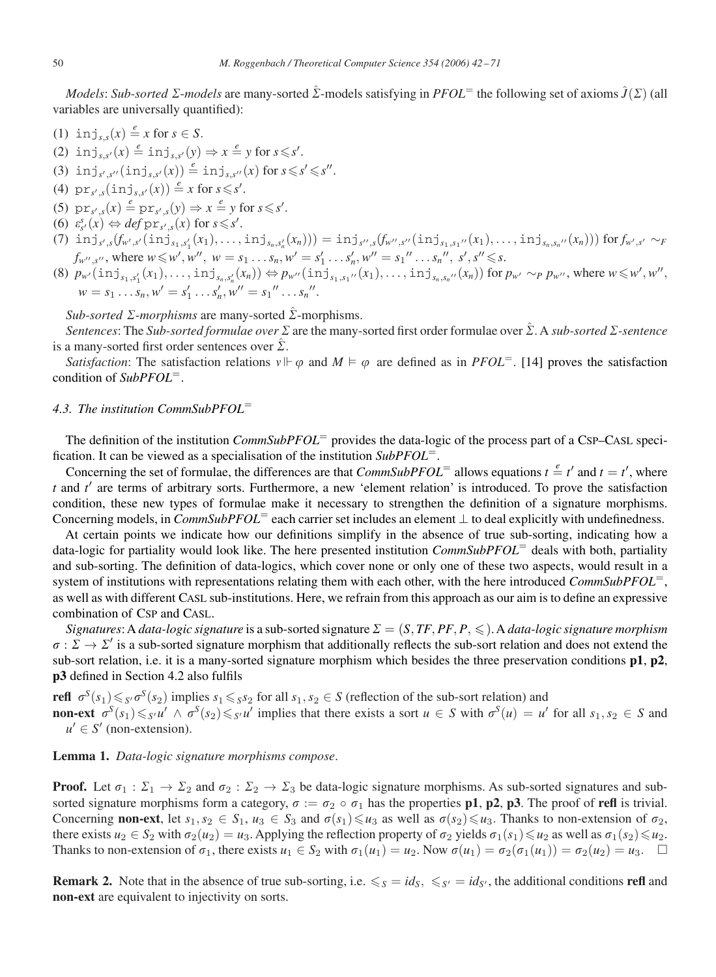<span id="page-8-0"></span>*Models: Sub-sorted*  $\Sigma$ -*models* are many-sorted  $\hat{\Sigma}$ -models satisfying in *PFOL*<sup>=</sup> the following set of axioms  $\hat{J}(\Sigma)$  (all variables are universally quantified):

- (1)  $\text{inj}_{s,s}(x) \stackrel{e}{=} x \text{ for } s \in S.$
- (2)  $\text{inj}_{s,s'}(x) \stackrel{e}{=} \text{inj}_{s,s'}(y) \Rightarrow x \stackrel{e}{=} y \text{ for } s \leq s'.$
- (3)  $\text{inj}_{s',s''}(\text{inj}_{s,s'}(x)) \stackrel{e}{=} \text{inj}_{s,s''}(x) \text{ for } s \leq s' \leq s''.$
- (4)  $\mathrm{pr}_{s',s}(\text{inj}_{s,s'}(x)) \stackrel{e}{=} x \text{ for } s \leq s'.$
- (5)  $\operatorname{pr}_{s',s}(x) \stackrel{e}{=} \operatorname{pr}_{s',s}(y) \Rightarrow x \stackrel{e}{=} y$  for  $s \le s'.$
- (6)  $\varepsilon_{s'}^s(x) \Leftrightarrow \text{def}_{\mathcal{D}^s}(x)$  for  $s \leq s'.$
- (7)  $\inf_{s',s}(f_{w',s'}(\inf_{s_1,s'_1}(x_1),\ldots,\inf_{s_n,s'_n})$  $\lim_{n \to \infty} f(x_n)$ )) = inj<sub>s</sub><sup>*n*</sup>,*s*<sup>(</sup>(*k*<sup>*n*</sup>),s<sup>*n*</sup>((*x*<sub>1</sub>),...,inj<sub>s<sub>n</sub>,s<sub>n</sub></sub><sup>*n*</sup>((*x<sub>n</sub>*))) for *f<sub>w</sub>*<sub>'</sub>,s<sup>*i*</sup> ~*F*  $f_{w'',s''}$ , where  $w \leq w', w'', w = s_1 \dots s_n, w' = s'_1 \dots s'_n, w'' = s_1'' \dots s''_n, s', s'' \leq s.$
- (8)  $p_{w'}(\text{inj}_{s_1,s'_1}(x_1),\ldots,\text{inj}_{s_n,s'_n})$  $\lim_{n \to \infty} \left( \lim_{n \to \infty} f(x_n) \right) \Leftrightarrow p_{w''}(\text{inj}_{s_1,s_1''}(x_1), \ldots, \text{inj}_{s_n,s_n''}(x_n)) \text{ for } p_{w'} \sim_p p_{w''}, \text{ where } w \leq w', w'',$  $w = s_1 \dots s_n, w' = s'_1 \dots s'_n, w'' = s_1'' \dots s_n''$ .

 $Sub\text{-}sorted$   $\Sigma\text{-}morphisms$  are many-sorted  $\hat{\Sigma}\text{-}morphisms$ .

 $Sentences:$  The *Sub-sorted formulae over*  $\Sigma$  are the many-sorted first order formulae over  $\hat{\Sigma}$ . A *sub-sorted*  $\Sigma$ -sentence is a many-sorted first order sentences over  $\hat{\Sigma}$ 

*Satisfaction*: The satisfaction relations  $v \Vdash \varphi$  and  $M \models \varphi$  are defined as in *PFOL*<sup>=</sup>. [\[14\]](#page-29-0) proves the satisfaction condition of *SubPFOL*<sup>=</sup>.

# *4.3. The institution CommSubPFOL*<sup>=</sup>

The definition of the institution *CommSubPFOL*<sup>=</sup> provides the data-logic of the process part of a CSP–CASL specification. It can be viewed as a specialisation of the institution *SubPFOL*<sup>=</sup>.

Concerning the set of formulae, the differences are that  $CommSubPFOL^=$  allows equations  $t \stackrel{e}{=} t'$  and  $t = t'$ , where *t* and *t* are terms of arbitrary sorts. Furthermore, a new 'element relation' is introduced. To prove the satisfaction condition, these new types of formulae make it necessary to strengthen the definition of a signature morphisms. Concerning models, in  $CommSubPFOL$ = each carrier set includes an element  $\perp$  to deal explicitly with undefinedness.

At certain points we indicate how our definitions simplify in the absence of true sub-sorting, indicating how a data-logic for partiality would look like. The here presented institution *CommSubPFOL*<sup>=</sup> deals with both, partiality and sub-sorting. The definition of data-logics, which cover none or only one of these two aspects, would result in a system of institutions with representations relating them with each other, with the here introduced *CommSubPFOL*<sup>=</sup>, as well as with different CASL sub-institutions. Here, we refrain from this approach as our aim is to define an expressive combination of CSP and CASL.

*Signatures*: A *data-logic signature* is a sub-sorted signature  $\Sigma = (S, TF, PF, P, \leq)$ . A *data-logic signature morphism*<br> $\Sigma \to \Sigma'$  is a sub-sorted signature morphism that additionally reflects the sub-sort relation and does  $\sigma : \Sigma \to \Sigma'$  is a sub-sorted signature morphism that additionally reflects the sub-sort relation and does not extend the sub-sort relation, i.e. it is a many-sorted signature morphism which besides the three preservation conditions **p1**, **p2**, **p3** defined in Section [4.2](#page-7-0) also fulfils

**refl**  $\sigma^S(s_1) \leq \sigma^S(s_2)$  implies  $s_1 \leq s_2$  for all  $s_1, s_2 \in S$  (reflection of the sub-sort relation) and **pop-oxt**  $\sigma^S(s_1) \leq \sigma^H(s_2) \leq \sigma^H(s_1) \leq \sigma^H(s_2) \leq \sigma^H(s_2) \leq \sigma^H(s_1) \leq \sigma^H(s_2) \leq \sigma^H(s_1) \leq \sigma^H(s_2) \le$ **non-ext**  $\sigma^S(s_1) \leq s \cdot u' \wedge \sigma^S(s_2) \leq s \cdot u'$  implies that there exists a sort  $u \in S$  with  $\sigma^S(u) = u'$  for all  $s_1, s_2 \in S$  and  $u' \in S'$  (pop-extension)  $u' \in S'$  (non-extension).

**Lemma 1.** *Data-logic signature morphisms compose*.

**Proof.** Let  $\sigma_1 : \Sigma_1 \to \Sigma_2$  and  $\sigma_2 : \Sigma_2 \to \Sigma_3$  be data-logic signature morphisms. As sub-sorted signatures and subsorted signature morphisms form a category,  $\sigma := \sigma_2 \circ \sigma_1$  has the properties **p1**, **p2**, **p3**. The proof of **refl** is trivial. Concerning **non-ext**, let  $s_1, s_2 \in S_1$ ,  $u_3 \in S_3$  and  $\sigma(s_1) \leq u_3$  as well as  $\sigma(s_2) \leq u_3$ . Thanks to non-extension of  $\sigma_2$ , there exists  $u_2 \in S_2$  with  $\sigma_2(u_2) = u_3$ . Applying the reflection property of  $\sigma_2$  yields  $\sigma_1(s_1) \leq u_2$  as well as  $\sigma_1(s_2) \leq u_2$ . Thanks to non-extension of  $\sigma_1$ , there exists  $u_1 \in S_2$  with  $\sigma_1(u_1) = u_2$ . Now  $\sigma(u_1) = \sigma_2(\sigma_1(u_1)) = \sigma_2(u_2) = u_3$ .  $\Box$ 

**Remark 2.** Note that in the absence of true sub-sorting, i.e.  $\leq s = id_s$ ,  $\leq s' = id_{S'}$ , the additional conditions **refl** and **non-ext** are equivalent to injectivity on sorts **non-ext** are equivalent to injectivity on sorts.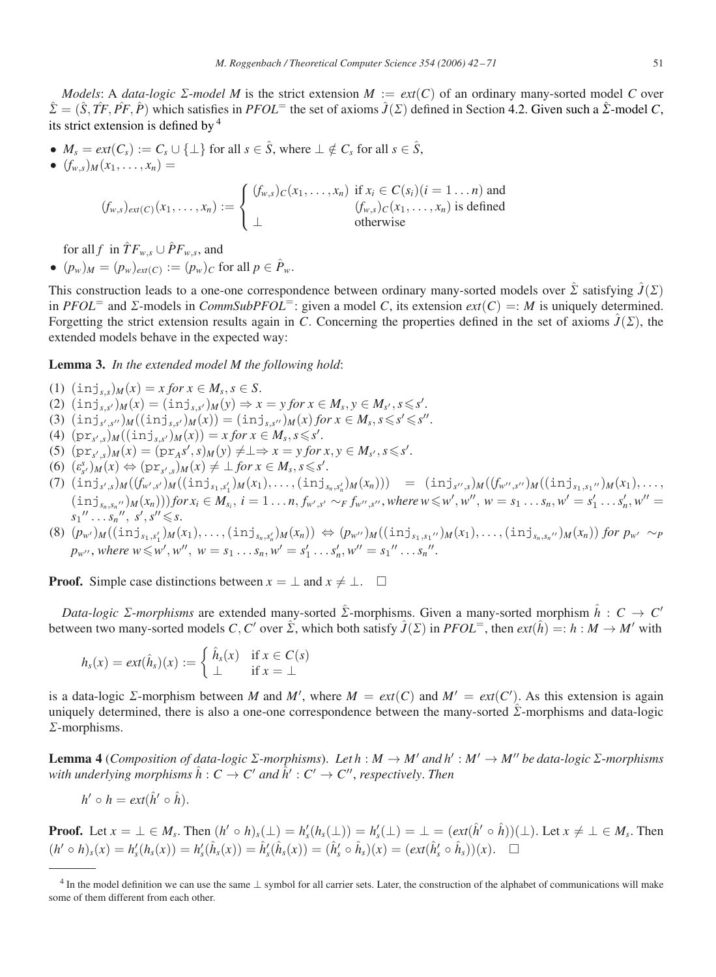*Models:* A *data-logic*  $\Sigma$ -*model M* is the strict extension  $M := ext(C)$  of an ordinary many-sorted model C over  $\hat{\Sigma} = (\hat{S}, \hat{T}F, \hat{P}F, \hat{P})$  which satisfies in *PFOL*<sup>=</sup> the set of axioms  $\hat{J}(\Sigma)$  defined in Section [4.2.](#page-7-0) Given such a  $\hat{\Sigma}$ -model *C*, its strict extension is defined by <sup>4</sup> its strict extension is defined by <sup>4</sup>

•  $M_s = ext(C_s) := C_s \cup \{\perp\}$  for all  $s \in \hat{S}$ , where  $\perp \notin C_s$  for all  $s \in \hat{S}$ ,

$$
\bullet \ (f_{w,s})_M(x_1,\ldots,x_n)=
$$

$$
(f_{w,s})_{ext(C)}(x_1,\ldots,x_n) := \begin{cases} (f_{w,s})_C(x_1,\ldots,x_n) & \text{if } x_i \in C(s_i) (i = 1 \ldots n) \text{ and} \\ \perp & (f_{w,s})_C(x_1,\ldots,x_n) \text{ is defined} \\ \perp & \text{otherwise} \end{cases}
$$

for all *f* in  $\hat{T}F_{w,s} \cup \hat{P}F_{w,s}$ , and

•  $(p_w)_M = (p_w)_{ext(C)} := (p_w)_C$  for all  $p \in \hat{P}_w$ .

This construction leads to a one-one correspondence between ordinary many-sorted models over  $\hat{\Sigma}$  satisfying  $\hat{J}(\Sigma)$ in *PFOL*<sup>=</sup> and *Σ*-models in *CommSubPFOL*<sup>=</sup>: given a model *C*, its extension *ext*(*C*) =: *M* is uniquely determined. Forgetting the strict extension results again in *C*. Concerning the properties defined in the set of axioms  $\hat{J}(\Sigma)$ , the extended models behave in the expected way: extended models behave in the expected way:

**Lemma 3.** *In the extended model M the following hold*:

- (1)  $(\text{inj}_{s,s})_M(x) = x$  for  $x \in M_s, s \in S$ .
- $(2)$   $(\text{inj}_{s,s'})_M(x) = (\text{inj}_{s,s'})_M(y) \Rightarrow x = y \text{ for } x \in M_s, y \in M_{s'}$ <br>  $(3)$   $(\text{inj}, \dots), ((\text{inj}, \dots), (x)) = (\text{inj}, \dots), (x) \text{ for } x \in M_s$  $s \leqslant s'.$ <br> $s' < s''$  $(3)$   $(\text{inj}_{s',s'},y)_{M}((\text{inj}_{s,s'})_{M}(x)) = (\text{inj}_{s,s'})_{M}(x)$  for  $x \in M_s, s \leq s' \leq s''.$ <br>  $(4)$   $(\text{inj}_s, \text{inj}_s)(\text{inj}_s, \text{inj}_s)(x)) = x$  for  $x \in M_s, s \leq s' \leq s''.$
- (4)  $(\text{pr}_{s',s})M((\text{inj}_{s,s'})M(x)) = x \text{ for } x \in M_s, s \leq s'.$ <br>(5)  $(\text{pr}_{s'}) \cdot \mathbf{r}(x) = (\text{pr}_{s} s' \cdot \mathbf{s}) \cdot \mathbf{r}(x) \neq 1 \Rightarrow x = y \text{ for } x$
- $(\text{5}) \ (\text{pr}_{s',s})_M(x) = (\text{pr}_{A}s', s)_M(y) \neq \perp \Rightarrow x = y \text{ for } x, y \in M_{s'}$ <br>  $(\text{6}) \ (s^s)_{s'}(x) \leftrightarrow (\text{pr}_{s'})_{s'}(x) \neq \perp \text{ for } x \in M, s \leq s'$  $s \leqslant s'.$
- $(6)$   $(\varepsilon_s^s) M(x) \Leftrightarrow (\text{pr}_{s',s}) M(x) \neq \bot \text{ for } x \in M_s, s \leq s'.$ <br>(7)  $(\text{pr}_1, \ldots) M(x) \rightarrow (\text{pr}_1, \ldots) M(x)$  (inj
- $(7)$   $(\text{inj}_{s',s})M((f_{w',s'})M((\text{inj}_{s_1,s'_1})M(x_1),\ldots,(\text{inj}_{s_n,s'_n}))$  $(\text{inj}_{s_n, s_n''})_M(x_n))$  for  $x_i \in M_{s_i}, i = 1...n, f_{w', s'} \sim_F f_{w'', s''}, where w \leq w', w'', w = s_1...s_n, w' = s'_1...s'_n, w'' = s_1''...s''_n', s', s'' \leq s.$  $\mathcal{L}_{n}^{(n)}(M(x_{n})))$  = (inj<sub>s'',s</sub>)<sub>M</sub> (( $f_{w'',s''}$ )<sub>M</sub>((inj<sub>s<sub>1,s1</sub>'')<sub>M</sub>(x<sub>1</sub>),...,</sub>
- (8)  $(p_w)_{M}((\text{inj}_{s_1,s'_1})_{M}(x_1),\ldots,(\text{inj}_{s_n,s'_n})_{M}$  $\left(\sum_{n=1}^{N} M(x_n)\right) \Leftrightarrow (p_{w''})_M((\text{inj}_{s_1,s_1''})_M(x_1),\ldots,(\text{inj}_{s_n,s_n''})_M(x_n))$  for  $p_{w'} \sim_{P}$  $p_{w''}$ , where  $w \leq w'$ ,  $w''$ ,  $w = s_1 \dots s_n$ ,  $w' = s'_1 \dots s'_n$ ,  $w'' = s_1'' \dots s_n''$ .

**Proof.** Simple case distinctions between  $x = \perp$  and  $x \neq \perp$ .  $\Box$ 

*Data-logic*  $\Sigma$ -morphisms are extended many-sorted  $\hat{\Sigma}$ -morphisms. Given a many-sorted morphism  $\hat{h}: C \to C'$ between two many-sorted models *C*, *C'* over  $\hat{\Sigma}$ , which both satisfy  $\hat{J}(\Sigma)$  in *PFOL*<sup>=</sup>, then  $ext(\hat{h}) =: h : M \to M'$  with

$$
h_s(x) = ext(\hat{h}_s)(x) := \begin{cases} \hat{h}_s(x) & \text{if } x \in C(s) \\ \perp & \text{if } x = \perp \end{cases}
$$

is a data-logic  $\Sigma$ -morphism between *M* and *M'*, where  $M = ext(C)$  and  $M' = ext(C')$ . As this extension is again uniquely determined there is also a one-one correspondence between the many-sorted  $\hat{\Sigma}$ -morphisms and data-logi uniquely determined, there is also a one-one correspondence between the many-sorted  $\hat{\Sigma}$ -morphisms and data-logic  $\Sigma$ -morphisms.

**Lemma 4** (Composition of data-logic  $\Sigma$ -morphisms). Let  $h : M \to M'$  and  $h' : M' \to M''$  be data-logic  $\Sigma$ -morphisms *with underlying morphisms*  $\hat{h}: C \to C'$  *and*  $\hat{h}': C' \to C''$ , *respectively. Then* 

$$
h' \circ h = ext(\hat{h}' \circ \hat{h}).
$$

**Proof.** Let  $x = \bot \in M_s$ . Then  $(h' \circ h)_s(\bot) = h'_s(h_s(\bot)) = h'_s(\bot) = \bot = (ext(\hat{h}' \circ \hat{h}))(\bot)$ . Let  $x \neq \bot \in M_s$ . Then  $(h' \circ h)_s(x) = h'_s(h_s(x)) = h'_s(\hat{h}_s(x)) = \hat{h}'_s(\hat{h}_s(x)) = (\hat{h}'_s \circ \hat{h}_s)(x) = (ext(\hat{h}'_s \circ \hat{h}_s))(x).$ 

<sup>4</sup> In the model definition we can use the same <sup>⊥</sup> symbol for all carrier sets. Later, the construction of the alphabet of communications will make some of them different from each other.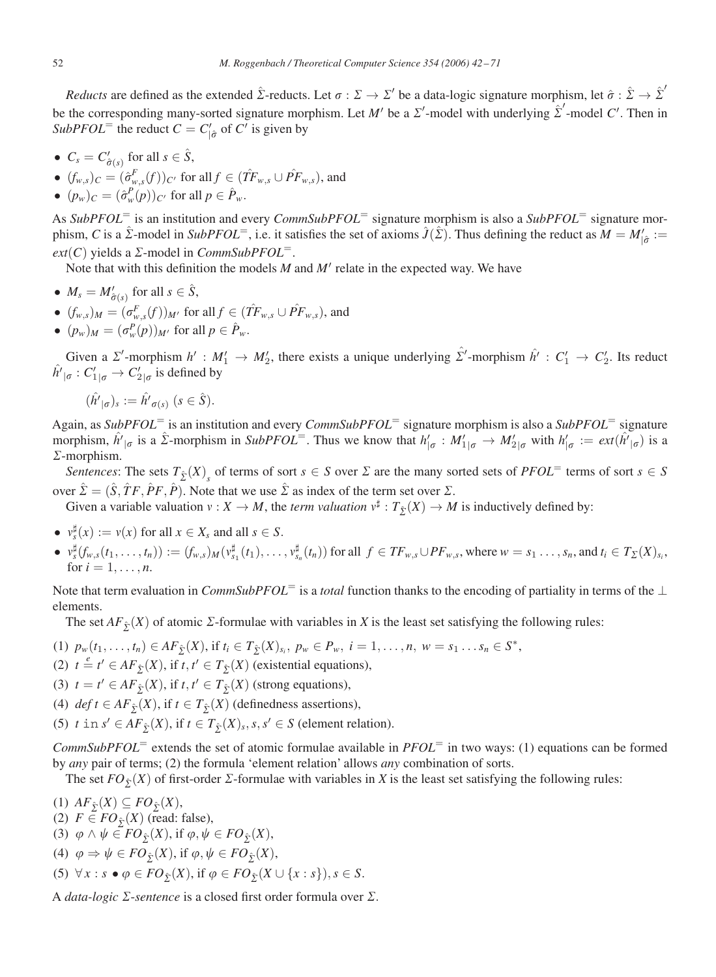*Reducts* are defined as the extended  $\hat{\Sigma}$ -reducts. Let  $\sigma : \Sigma \to \Sigma'$  be a data-logic signature morphism, let  $\hat{\sigma} : \hat{\Sigma} \to \hat{\Sigma}'$ be the corresponding many-sorted signature morphism. Let *M'* be a  $\Sigma'$ -model with underlying  $\hat{\Sigma}'$ -model *C'*. Then in  $SubPFOI$  = the reduct  $C - C'$  of  $C'$  is given by *SubPFOL*<sup>=</sup> the reduct  $C = C'_{|\hat{\sigma}|}$  of *C'* is given by

- $C_s = C'_{\hat{\sigma}(s)}$  for all  $s \in \hat{S}$ ,
- $(f_{w,s})_C = (\hat{\sigma}_{w,s}^F(f))_{C'}$  for all  $f \in (\hat{TF}_{w,s} \cup \hat{PF}_{w,s})$ , and
- $(p_w)_C = (\hat{\sigma}_w^P(p))_{C'}$  for all  $p \in \hat{P}_w$ .

As *SubPFOL*<sup>=</sup> is an institution and every *CommSubPFOL*<sup>=</sup> signature morphism is also a *SubPFOL*<sup>=</sup> signature morphism, *C* is a  $\hat{\Sigma}$ -model in *SubPFOL*<sup>=</sup>, i.e. it satisfies the set of axioms  $\hat{J}(\hat{\Sigma})$ . Thus defining the reduct as  $M = M'_{|\hat{\sigma}} :=$  $ext(C)$  yields a  $\Sigma$ -model in *CommSubPFOL*<sup>=</sup>.

Note that with this definition the models *M* and *M'* relate in the expected way. We have

- $M_s = M'_{\hat{\sigma}(s)}$  for all  $s \in \hat{S}$ ,
- $(f_{w,s})_M = (σ_{w,s}^F(f))_{M'}$  for all  $f ∈ (T\hat{F}_{w,s} ∪ \hat{P}\hat{F}_{w,s})$ , and
- $(p_w)_M = (\sigma_w^P(p))_{M'}$  for all  $p \in \hat{P}_w$ .

Given a  $\Sigma'$ -morphism  $h' : M'_1 \to M'_2$ , there exists a unique underlying  $\hat{\Sigma}'$ -morphism  $\hat{h}' : C'_1 \to C'_2$ . Its reduct  $\hat{h'}_{|\sigma} : C'_{1|\sigma} \to C'_{2|\sigma}$  is defined by  $| \sigma : C'_{1} |_{\sigma} \to C'_{2} |_{\sigma}$  is defined by

$$
(\hat{h'}_{|\sigma})_s := \hat{h'}_{\sigma(s)} \ (s \in \hat{S}).
$$

Again, as *SubPFOL*<sup>=</sup> is an institution and every *CommSubPFOL*<sup>=</sup> signature morphism is also a *SubPFOL*<sup>=</sup> signature morphism,  $\hat{h'}_{|\sigma}$  is a  $\hat{\Sigma}$ -morphism in *SubPFOL*<sup>=</sup>. Thus we know that  $h'_{|\sigma}: M'_{1|\sigma} \to M'_{2|\sigma}$  with  $h'_{|\sigma} := ext(\hat{h'}_{|\sigma})$  is a  $\Sigma$ -morphism.

*Sentences:* The sets  $T_{\hat{\Sigma}}(X)$  of terms of sort  $s \in S$  over  $\Sigma$  are the many sorted sets of *PFOL*<sup>=</sup> terms of sort  $s \in S$ over  $\hat{\Sigma} = (\hat{S}, \hat{T}F, \hat{P}F, \hat{P})$ . Note that we use  $\hat{\Sigma}$  as index of the term set over  $\Sigma$ .<br>Given a variable valuation  $y : X \to M$  the *term valuation*  $y^{\sharp} : T_{\delta}(X) \to M$ 

Given a variable valuation  $v : X \to M$ , the *term valuation*  $v^{\sharp} : T_{\hat{\Sigma}}(X) \to M$  is inductively defined by:

- $v_s^{\sharp}(x) := v(x)$  for all  $x \in X_s$  and all  $s \in S$ *.*
- $v_{s_1}^{\sharp}(f_{w,s}(t_1,\ldots,t_n)) := (f_{w,s})_M(v_{s_1}^{\sharp}(t_1),\ldots,v_{s_n}^{\sharp}(t_n))$  for all  $f \in TF_{w,s} \cup PF_{w,s}$ , where  $w = s_1 \ldots, s_n$ , and  $t_i \in T_{\Sigma}(X)_{s_i}$ , for  $i-1$ for  $i = 1, ..., n$ .

Note that term evaluation in *CommSubPFOL*<sup>=</sup> is a *total* function thanks to the encoding of partiality in terms of the ⊥ elements.

The set  $AF_{\hat{\Sigma}}(X)$  of atomic  $\Sigma$ -formulae with variables in *X* is the least set satisfying the following rules:

(1) 
$$
p_w(t_1, \ldots, t_n) \in AF_{\hat{\Sigma}}(X)
$$
, if  $t_i \in T_{\hat{\Sigma}}(X)_{s_i}$ ,  $p_w \in P_w$ ,  $i = 1, \ldots, n$ ,  $w = s_1 \ldots s_n \in S^*$ ,  
(2)  $t \stackrel{e}{=} t' \in AF_{\hat{\Sigma}}(X)$ , if  $t, t' \in T_{\hat{\Sigma}}(X)$  (existential equations),

- 
- (3)  $t = t' \in AF_{\hat{\Sigma}}(X)$ , if  $t, t' \in T_{\hat{\Sigma}}(X)$  (strong equations),
- (4) *def t*  $\in AF_{\hat{\Sigma}}(X)$ , if  $t \in T_{\hat{\Sigma}}(X)$  (definedness assertions),
- (5) *t* in  $s' \in AF_{\hat{\Sigma}}(X)$ , if  $t \in T_{\hat{\Sigma}}(X)$ ,  $s, s' \in S$  (element relation).

*CommSubPFOL*<sup>=</sup> extends the set of atomic formulae available in *PFOL*<sup>=</sup> in two ways: (1) equations can be formed by *any* pair of terms; (2) the formula 'element relation' allows *any* combination of sorts.

The set  $FO_{\hat{\Sigma}}(X)$  of first-order  $\Sigma$ -formulae with variables in *X* is the least set satisfying the following rules:

- $(1)$   $AF_{\hat{\Sigma}}(X) \subseteq FO_{\hat{\Sigma}}(X),$
- (2)  $F \in FO_{\hat{\Sigma}}(X)$  (read: false),
- (3)  $\varphi \wedge \psi \in FO_{\hat{\Sigma}}(X)$ , if  $\varphi, \psi \in FO_{\hat{\Sigma}}(X)$ ,
- (4)  $\varphi \Rightarrow \psi \in FO_{\hat{\Sigma}}(X)$ , if  $\varphi, \psi \in FO_{\hat{\Sigma}}(X)$ ,
- (5) ∀*x* : *s*  $\bullet$   $\phi$  ∈  $FO_{\hat{\Sigma}}(X)$ , if  $\phi$  ∈  $FO_{\hat{\Sigma}}(X \cup \{x : s\})$ , *s* ∈ *S*.

A *data-logic*  $\Sigma$ -sentence is a closed first order formula over  $\Sigma$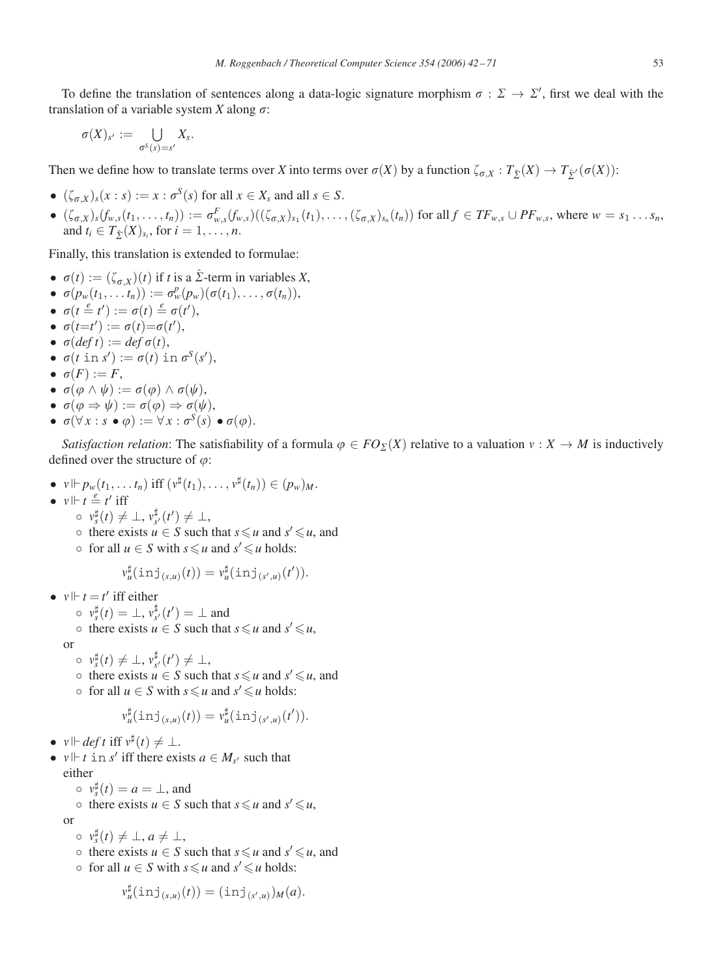$$
\sigma(X)_{s'} := \bigcup_{\sigma^S(s)=s'} X_s.
$$

Then we define how to translate terms over *X* into terms over  $\sigma(X)$  by a function  $\zeta_{\sigma,X}: T_{\hat{\Sigma}}(X) \to T_{\hat{\Sigma}}'(\sigma(X))$ :

- $(\zeta_{\sigma} \zeta)(x : s) := x : \sigma^{S}(s)$  for all  $x \in X_s$  and all  $s \in S$ *.*
- $(\zeta_{\sigma,X})_s(f_{w,s}(t_1,\ldots,t_n)) := \sigma_{w,s}^F(f_{w,s})((\zeta_{\sigma,X})_{s_1}(t_1),\ldots,(\zeta_{\sigma,X})_{s_n}(t_n))$  for all  $f \in TF_{w,s} \cup PF_{w,s}$ , where  $w = s_1 \ldots s_n$ ,<br>and  $t \in T_s(Y)$  for  $i = 1$ and  $t_i \in T_{\hat{\Sigma}}(X)_{s_i}$ , for  $i = 1, \ldots, n$ .

Finally, this translation is extended to formulae:

- $\sigma(t) := (\zeta_{\sigma,X})(t)$  if *t* is a  $\hat{\mathbb{Z}}$ -term in variables *X*,
- $\sigma(p_w(t_1,...,t_n)) := \sigma_w^p(p_w)(\sigma(t_1),..., \sigma(t_n)),$
- $\sigma(t = t') := \sigma(t) = \sigma(t'),$
- $\sigma(t=t') := \sigma(t) = \sigma(t'),$
- $\sigma(\det t) := \det \sigma(t),$
- $\sigma(t \text{ in } s') := \sigma(t) \text{ in } \sigma^S(s'),$
- $\bullet$   $\sigma(F) := F$ ,
- $\sigma(\varphi \wedge \psi) := \sigma(\varphi) \wedge \sigma(\psi),$
- $\sigma(\varphi \Rightarrow \psi) := \sigma(\varphi) \Rightarrow \sigma(\psi),$
- $\sigma(\forall x : s \bullet \varphi) := \forall x : \sigma^{S}(s) \bullet \sigma(\varphi).$

*Satisfaction relation*: The satisfiability of a formula  $\varphi \in FO_\Sigma(X)$  relative to a valuation  $v: X \to M$  is inductively defined over the structure of  $\varphi$ :

- $v \Vdash p_w(t_1, \ldots, t_n)$  iff  $(v^{\sharp}(t_1), \ldots, v^{\sharp}(t_n)) \in (p_w)_M$ .
- $v \Vdash t = t'$  iff
	- $\circ \; v_s^{\sharp}(t) \neq \perp, v_{s'}^{\sharp}(t') \neq \perp,$
	- there exists  $u \in S$  such that  $s \le u$  and  $s' \le u$ , and
	- for all *u* ∈ *S* with *s*  $\le$  *u* and *s'*  $\le$  *u* holds:

$$
v_u^{\sharp}(\text{inj}_{(s,u)}(t)) = v_u^{\sharp}(\text{inj}_{(s',u)}(t')).
$$

- $v \Vdash t = t'$  iff either
	- $v_s^{\sharp}(t) = \bot, v_{s'}^{\sharp}(t') = \bot$  and
	- there exists *u* ∈ *S* such that *s*  $\le$  *u* and *s'*  $\le$  *u*,

or

- $\circ \; v_s^{\sharp}(t) \neq \bot, v_{s'}^{\sharp}(t') \neq \bot,$
- there exists  $u \in S$  such that  $s \le u$  and  $s' \le u$ , and
- for all *u* ∈ *S* with *su* and *su* holds:

$$
v_u^{\sharp}(\text{inj}_{(s,u)}(t)) = v_u^{\sharp}(\text{inj}_{(s',u)}(t')).
$$

- $v \Vdash def t$  iff  $v^{\sharp}(t) \neq \bot$ .
- $v \Vdash t$  in *s'* iff there exists  $a \in M_{s'}$  such that either
	- $\circ \nu_s^{\sharp}(t) = a = \bot$ , and
	- there exists  $u \in S$  such that  $s \le u$  and  $s' \le u$ ,

or

- $\circ \; v_s^{\sharp}(t) \neq \bot, a \neq \bot,$
- there exists *u* ∈ *S* such that *s*  $\le$  *u* and *s'*  $\le$  *u*, and
- for all *u* ∈ *S* with *s*  $\le$  *u* and *s'*  $\le$  *u* holds:

$$
v_u^{\sharp}(\text{inj}_{(s,u)}(t)) = (\text{inj}_{(s',u)})_M(a).
$$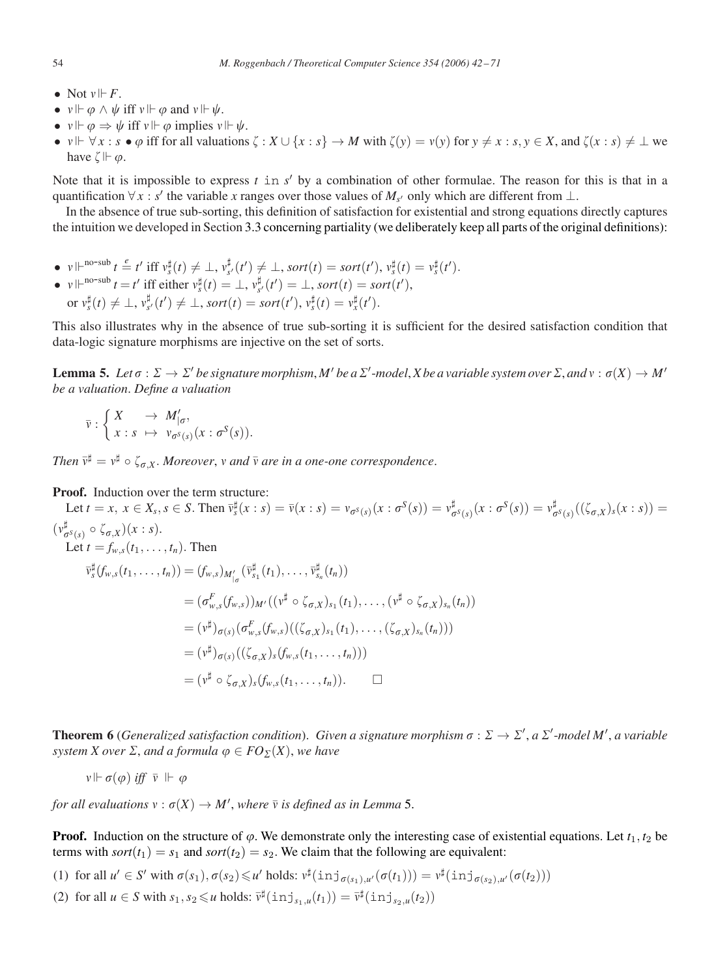- <span id="page-12-0"></span>• Not  $v \Vdash F$ .
- $v \Vdash \varphi \wedge \psi$  iff  $v \Vdash \varphi$  and  $v \Vdash \psi$ .
- $v \Vdash \varphi \Rightarrow \psi$  iff  $v \Vdash \varphi$  implies  $v \Vdash \psi$ .
- $v \Vdash \forall x : s \bullet \varphi$  iff for all valuations  $\zeta : X \cup \{x : s\} \to M$  with  $\zeta(y) = v(y)$  for  $y \neq x : s, y \in X$ , and  $\zeta(x : s) \neq \bot$  we have  $\zeta \Vdash \varphi$ .

Note that it is impossible to express  $t \text{ in } s'$  by a combination of other formulae. The reason for this is that in a quantification  $\forall x : s'$  the variable *x* ranges over those values of  $M_{s'}$  only which are different from  $\bot$ .

In the absence of true sub-sorting, this definition of satisfaction for existential and strong equations directly captures the intuition we developed in Section [3.3](#page-4-0) concerning partiality (we deliberately keep all parts of the original definitions):

- $v \Vdash^{no-sub} t = t'$  iff  $v_s^{\sharp}(t) \neq \bot$ ,  $v_{s'}^{\sharp}(t') \neq \bot$ , sort $(t) = sort(t')$ ,  $v_s^{\sharp}(t) = v_s^{\sharp}(t')$ .<br>
  $v_s^{\sharp} \Vdash^{no-sub}$ ,  $t \to t'$  iff either  $v_s^{\sharp}(t') = v_s^{\sharp}(t') 1$ , sort $(t) = sort(t')$ .
- $v \Vdash^{no-sub} t = t'$  iff either  $v_s^{\sharp}(t) = \bot, v_{s'}^{\sharp}(t') = \bot, sort(t) = sort(t'),$ or  $v_s^{\sharp}(t) \neq \bot$ ,  $v_{s'}^{\sharp}(t') \neq \bot$ , sort $(t) = sort(t')$ ,  $v_s^{\sharp}(t) = v_x^{\sharp}(t')$ .

This also illustrates why in the absence of true sub-sorting it is sufficient for the desired satisfaction condition that data-logic signature morphisms are injective on the set of sorts.

**Lemma 5.** Let  $\sigma : \Sigma \to \Sigma'$  be signature morphism, M' be a  $\Sigma'$ -model, X be a variable system over  $\Sigma$ , and  $v : \sigma(X) \to M'$ *be a valuation*. *Define a valuation*

$$
\bar{\nu}: \begin{cases} X & \to M'_{|\sigma}, \\ x:s \mapsto \nu_{\sigma^S(s)}(x:\sigma^S(s)). \end{cases}
$$

*Then*  $\bar{v}^{\sharp} = v^{\sharp} \circ \zeta_{\sigma X}$ *. Moreover, v and*  $\bar{v}$  *are in a one-one correspondence.* 

**Proof.** Induction over the term structure:

Let  $t = x$ ,  $x \in X_s$ ,  $s \in S$ . Then  $\overline{v}_s^{\sharp}(x : s) = \overline{v}(x : s) = v_{\sigma^S(s)}(x : \sigma^S(s)) = v_{\sigma^S(s)}^{\sharp}(x : \sigma^S(s)) = v_{\sigma^S(s)}^{\sharp}((\zeta_{\sigma,x})_s(x : s)) = v_{\sigma^S(s)}^{\sharp}((\zeta_{\sigma,x})_s(x : s))$  $(v_{\sigma^S(s)}^{\sharp} \circ \zeta_{\sigma,X})(x:s).$ Let  $t = f_{w,s}(t_1,\ldots,t_n)$ . Then  $\overline{v}_s^{\sharp} (f_{w,s}(t_1,\ldots,t_n)) = (f_{w,s})_{M'_{|\sigma}} (\overline{v}_{s_1}^{\sharp}(t_1),\ldots,\overline{v}_{s_n}^{\sharp}(t_n))$  $= (\sigma_{w,s}^F(f_{w,s}))_{M'}((v^{\sharp} \circ \zeta_{\sigma,X})_{s_1}(t_1),\ldots,(v^{\sharp} \circ \zeta_{\sigma,X})_{s_n}(t_n))$  $= (v^{\sharp})_{\sigma(s)}(\sigma_{w,s}^{F}(f_{w,s})((\zeta_{\sigma,X})_{s_1}(t_1),\ldots,(\zeta_{\sigma,X})_{s_n}(t_n)))$  $= (v^{\sharp})_{\sigma(s)}((\zeta_{\sigma,X})_s(f_{w,s}(t_1,\ldots,t_n)))$  $= (v^{\sharp} \circ \zeta_{\sigma X})_{s}(f_{w,s}(t_{1},...,t_{n})).$ 

**Theorem 6** (*Generalized satisfaction condition*). *Given a signature morphism*  $\sigma : \Sigma \to \Sigma'$ , a  $\Sigma'$ -model M', a variable  $system X over \Sigma$ , and a formula  $\varphi \in FO_\Sigma(X)$ , we have

$$
v \Vdash \sigma(\varphi) \text{ iff } \bar{v} \Vdash \varphi
$$

*for all evaluations*  $v : \sigma(X) \to M'$ , *where*  $\overline{v}$  *is defined as in Lemma* 5.

**Proof.** Induction on the structure of  $\varphi$ . We demonstrate only the interesting case of existential equations. Let  $t_1$ ,  $t_2$  be terms with  $sort(t_1) = s_1$  and  $sort(t_2) = s_2$ . We claim that the following are equivalent:

- (1) for all  $u' \in S'$  with  $\sigma(s_1), \sigma(s_2) \leq u'$  holds:  $v^{\sharp}(\text{inj}_{\sigma(s_1),u'}(\sigma(t_1))) = v^{\sharp}(\text{inj}_{\sigma(s_2),u'}(\sigma(t_2)))$
- (2) for all  $u \in S$  with  $s_1, s_2 \leq u$  holds:  $\bar{v}^{\sharp}(\text{inj}_{s_1, u}(t_1)) = \bar{v}^{\sharp}(\text{inj}_{s_2, u}(t_2))$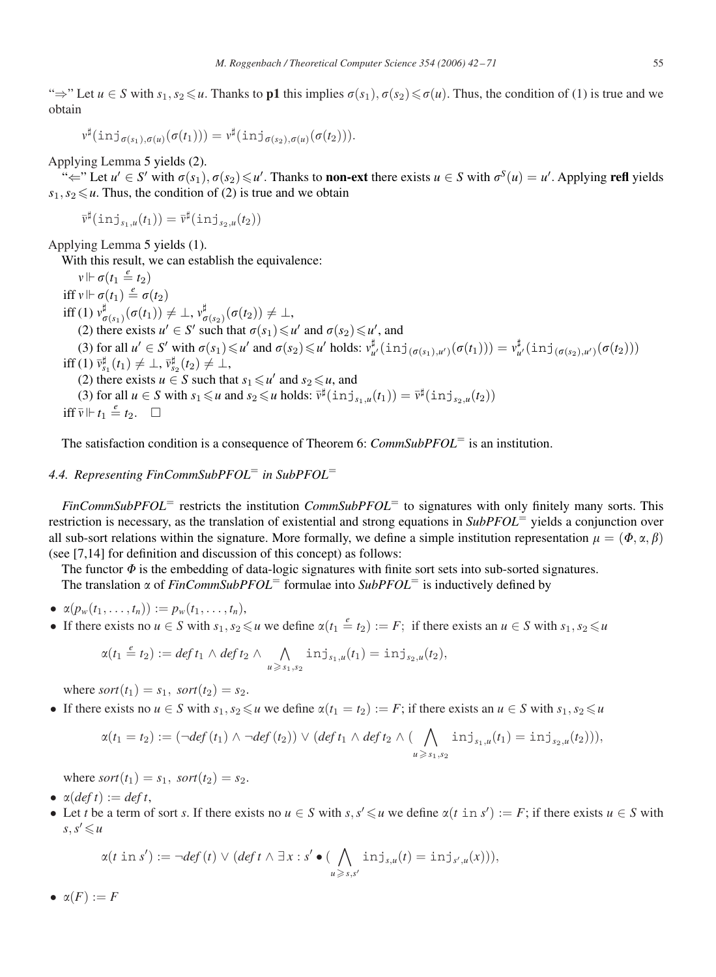<span id="page-13-0"></span>" $\Rightarrow$ " Let *u* ∈ *S* with *s*<sub>1</sub>*, s*<sub>2</sub> ≤ *u*. Thanks to **p1** this implies  $\sigma(s_1)$ ,  $\sigma(s_2)$  ≤  $\sigma(u)$ . Thus, the condition of (1) is true and we obtain

$$
v^{\sharp}(\text{inj}_{\sigma(s_1),\sigma(u)}(\sigma(t_1)))=v^{\sharp}(\text{inj}_{\sigma(s_2),\sigma(u)}(\sigma(t_2))).
$$

Applying Lemma [5](#page-12-0) yields (2).

" $\Leftarrow$ " Let  $u' \in S'$  with  $\sigma(s_1)$ ,  $\sigma(s_2) \le u'$ . Thanks to **non-ext** there exists  $u \in S$  with  $\sigma^S(u) = u'$ . Applying **refl** yields  $s_1, s_2 \leq u$ . Thus, the condition of (2) is true and we obtain

$$
\bar{\mathbf{v}}^{\sharp}(\texttt{inj}_{s_1,u}(t_1)) = \bar{\mathbf{v}}^{\sharp}(\texttt{inj}_{s_2,u}(t_2))
$$

Applying Lemma [5](#page-12-0) yields (1).

With this result, we can establish the equivalence:

 $v \Vdash \sigma(t_1 \stackrel{e}{=} t_2)$ iff  $v \Vdash \sigma(t_1) \stackrel{e}{=} \sigma(t_2)$  $\inf (1) v_{\sigma(s_1)}^{\sharp}(\sigma(t_1)) \neq \bot, v_{\sigma(s_2)}^{\sharp}(\sigma(t_2)) \neq \bot,$ (2) there exists  $u' \in S'$  such that  $\sigma(s_1) \leq u'$  and  $\sigma(s_2) \leq u'$ , and (3) for all  $u' \in S'$  with  $\sigma(s_1) \leq u'$  and  $\sigma(s_2) \leq u'$  holds:  $v_{u'}^{\sharp}(\text{inj}_{(\sigma(s_1),u')}(\sigma(t_1))) = v_{u'}^{\sharp}(\text{inj}_{(\sigma(s_2),u')}(\sigma(t_2)))$ **iff** (1)  $\bar{v}_{s_1}^{\sharp}(t_1) \neq \bot$ ,  $\bar{v}_{s_2}^{\sharp}(t_2) \neq \bot$ , (2) there exists  $u \in S$  such that  $s_1 \le u'$  and  $s_2 \le u$ , and (3) for all *u* ∈ *S* with *s*<sub>1</sub> ≤ *u* and *s*<sub>2</sub> ≤ *u* holds:  $\bar{v}^{\sharp}(\text{inj}_{s_1,u}(t_1)) = \bar{v}^{\sharp}(\text{inj}_{s_2,u}(t_2))$ iff  $\bar{v} \Vdash t_1 \stackrel{e}{=} t_2$ .  $\Box$ 

The satisfaction condition is a consequence of Theorem [6:](#page-12-0) *CommSubPFOL*<sup>=</sup> is an institution.

# *4.4. Representing FinCommSubPFOL*<sup>=</sup> *in SubPFOL*<sup>=</sup>

*FinCommSubPFOL*<sup>=</sup> restricts the institution *CommSubPFOL*<sup>=</sup> to signatures with only finitely many sorts. This restriction is necessary, as the translation of existential and strong equations in *SubPFOL*<sup>=</sup> yields a conjunction over all sub-sort relations within the signature. More formally, we define a simple institution representation  $\mu = (\Phi, \alpha, \beta)$ <br>(see [7,14] for definition and discussion of this concent) as follows: (see [\[7,14\]](#page-29-0) for definition and discussion of this concept) as follows:

The functor  $\Phi$  is the embedding of data-logic signatures with finite sort sets into sub-sorted signatures. The translation  $\alpha$  of  $FinCommSubPFOL^{\pm}$  formulae into  $SubPFOL^{\pm}$  is inductively defined by

- $\alpha(p_w(t_1,\ldots,t_n)) := p_w(t_1,\ldots,t_n),$ <br> **e** If there exists no  $y \in S$  with  $s \in S$
- If there exists no  $u \in S$  with  $s_1, s_2 \le u$  we define  $\alpha(t_1 \le t_2) := F$ ; if there exists an  $u \in S$  with  $s_1, s_2 \le u$

$$
\alpha(t_1 \stackrel{e}{=} t_2) := \text{def } t_1 \wedge \text{def } t_2 \wedge \bigwedge_{u \geqslant s_1, s_2} \text{inj}_{s_1,u}(t_1) = \text{inj}_{s_2,u}(t_2),
$$

where  $sort(t_1) = s_1$ ,  $sort(t_2) = s_2$ .

 $\bullet$  If there exists no *u* ∈ *S* with *s*<sub>1</sub>*,s*<sub>2</sub> ≤ *u* we define  $\alpha(t_1 = t_2) := F$ ; if there exists an *u* ∈ *S* with *s*<sub>1</sub>*, s*<sub>2</sub> ≤ *u* 

$$
\alpha(t_1=t_2):=(\neg \text{def }(t_1) \wedge \neg \text{def }(t_2)) \vee (\text{def } t_1 \wedge \text{def } t_2 \wedge (\bigwedge_{u \geq s_1,s_2} \text{inj}_{s_1,u}(t_1)=\text{inj}_{s_2,u}(t_2))),
$$

where  $sort(t_1) = s_1$ ,  $sort(t_2) = s_2$ .

- $\alpha(\text{def } t) := \text{def } t$ ,
- Let *t* be a term of sort *s*. If there exists no  $u \in S$  with  $s, s' \le u$  we define  $\alpha(t \text{ in } s') := F$ ; if there exists  $u \in S$  with  $s, s' \leq u$

$$
\alpha(t \text{ in } s') := \neg \text{def}(t) \vee (\text{def } t \wedge \exists x : s' \bullet (\bigwedge_{u \geq s,s'} \text{inj}_{s,u}(t) = \text{inj}_{s',u}(x))),
$$

$$
\bullet \ \alpha(F) := F
$$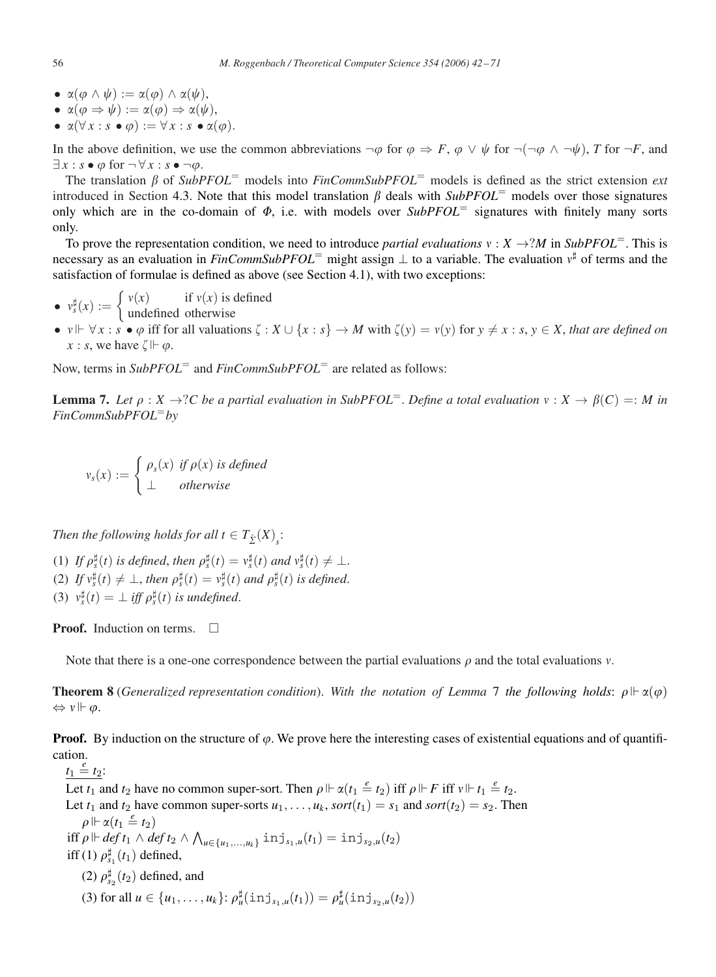- $\alpha(\varphi \wedge \psi) := \alpha(\varphi) \wedge \alpha(\psi),$
- $\alpha(\varphi \Rightarrow \psi) := \alpha(\varphi) \Rightarrow \alpha(\psi),$
- $\alpha(\forall x : s \bullet \varphi) := \forall x : s \bullet \alpha(\varphi).$

In the above definition, we use the common abbreviations  $\neg \varphi$  for  $\varphi \Rightarrow F$ ,  $\varphi \lor \psi$  for  $\neg(\neg \varphi \land \neg \psi)$ , *T* for  $\neg F$ , and  $\exists x : s \bullet \varphi$  for  $\neg \forall x : s \bullet \neg \varphi$ .

The translation  $\beta$  of  $SubPFOL^=$  models into  $FinCommSubPFOL^=$  models is defined as the strict extension *ext* introduced in Section [4.3.](#page-8-0) Note that this model translation  $\beta$  deals with *SubPFOL*<sup>=</sup> models over those signatures only which are in the co-domain of  $\Phi$ , i.e. with models over *SubPFOL*<sup>=</sup> signatures with finitely many sorts only.

To prove the representation condition, we need to introduce *partial evaluations*  $v : X \rightarrow ?M$  in *SubPFOL*<sup>=</sup>. This is necessary as an evaluation in *FinCommSubPFOL*<sup>=</sup> might assign  $\perp$  to a variable. The evaluation  $v^{\sharp}$  of terms and the satisfaction of formulae is defined as above (see Section [4.1\)](#page-5-0), with two exceptions:

- $v_s^{\sharp}(x) := \begin{cases} v(x) & \text{if } v(x) \text{ is defined} \\ \text{undefined otherwise} \end{cases}$
- $v \Vdash \forall x : s \bullet \varphi$  iff for all valuations  $\zeta : X \cup \{x : s\} \to M$  with  $\zeta(y) = v(y)$  for  $y \neq x : s, y \in X$ , that are defined on *x* : *s*, we have  $\zeta \not\vdash \varphi$ .

Now, terms in *SubPFOL*<sup>=</sup> and *FinCommSubPFOL*<sup>=</sup> are related as follows:

**Lemma 7.** Let  $\rho : X \to ?C$  be a partial evaluation in SubPFOL<sup>=</sup>. Define a total evaluation  $v : X \to \beta(C) =: M$  in *FinCommSubPFOL*=*by*

 $v_s(x) := \begin{cases} \rho_s(x) & \text{if } \rho(x) \text{ is defined} \\ \perp & otherwise \end{cases}$ 

*Then the following holds for all*  $t \in T_{\hat{\Sigma}}(X)_{s}$ *:* 

(1) If  $\rho_s^{\sharp}(t)$  is defined, then  $\rho_s^{\sharp}(t) = v_s^{\sharp}(t)$  and  $v_s^{\sharp}(t) \neq \bot$ .<br>(2) If  $x^{\sharp}(t) \leq t$ , then  $x^{\sharp}(t)$  and  $x^{\sharp}(t)$  is defined. (2) If  $v_s^{\sharp}(t) \neq \bot$ , then  $\rho_s^{\sharp}(t) = v_s^{\sharp}(t)$  and  $\rho_s^{\sharp}(t)$  is defined. (3)  $v_s^{\sharp}(t) = \perp \text{ iff } \rho_s^{\sharp}(t) \text{ is undefined.}$ 

**Proof.** Induction on terms.  $\Box$ 

Note that there is a one-one correspondence between the partial evaluations  $\rho$  and the total evaluations  $\nu$ .

**Theorem 8** (*Generalized representation condition*). With the notation of Lemma 7 the following holds:  $\rho \Vdash \alpha(\varphi)$  $\Leftrightarrow$   $v \Vdash \varphi$ .

**Proof.** By induction on the structure of  $\varphi$ . We prove here the interesting cases of existential equations and of quantification.

 $t_1 \stackrel{e}{=} t_2$ : Let  $t_1$  and  $t_2$  have no common super-sort. Then  $\rho \Vdash \alpha(t_1 \stackrel{e}{=} t_2)$  iff  $\rho \Vdash F$  iff  $\nu \Vdash t_1 \stackrel{e}{=} t_2$ . Let  $t_1$  and  $t_2$  have common super-sorts  $u_1, \ldots, u_k$ ,  $sort(t_1) = s_1$  and  $sort(t_2) = s_2$ . Then  $\rho \Vdash \alpha(t_1 \stackrel{e}{=} t_2)$  $\inf \rho \Vdash \text{def } t_1 \wedge \text{def } t_2 \wedge \bigwedge_{u \in \{u_1,...,u_k\}} \text{inj}_{s_1,u}(t_1) = \text{inj}_{s_2,u}(t_2)$ iff (1)  $\rho_{s_1}^{\sharp}(t_1)$  defined, (2)  $\rho_{s_2}^{\sharp}(t_2)$  defined, and  $(\text{3})$  for all  $u \in \{u_1, \ldots, u_k\}$ :  $\rho_u^{\sharp}(\text{inj}_{s_1,u}(t_1)) = \rho_u^{\sharp}(\text{inj}_{s_2,u}(t_2))$ 

<span id="page-14-0"></span>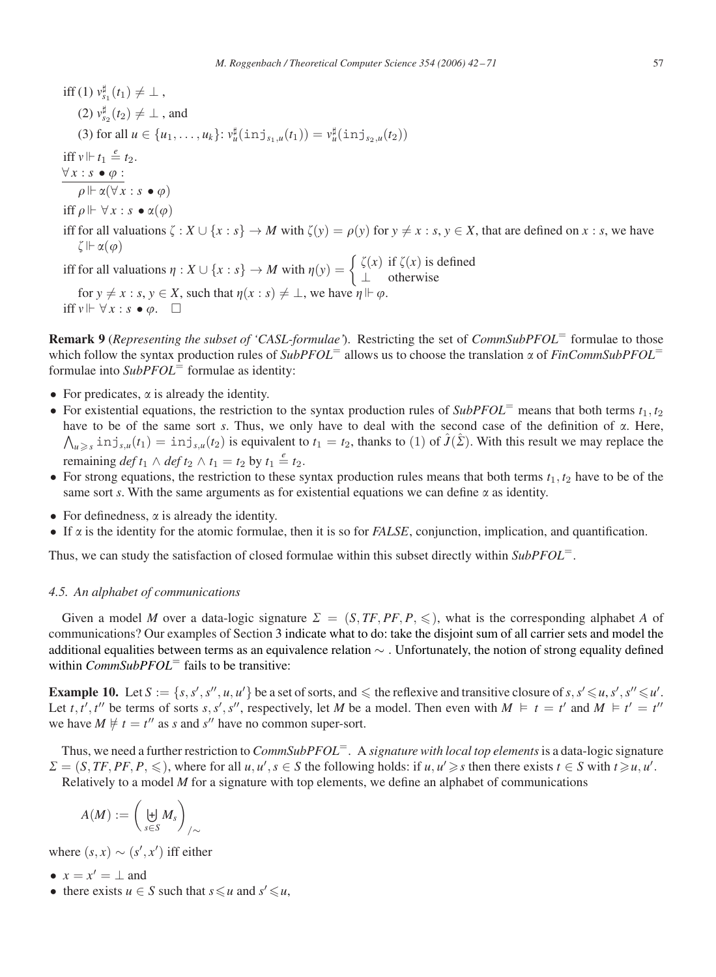<span id="page-15-0"></span>iff (1)  $v_{s_1}$ <sup>‡</sup> $(t_1) ≠ ⊥$ ,  $(2) v_{s_2}^{\sharp}(t_2) \neq \bot$ , and  $(v_i^{\sharp})$  for all  $u \in \{u_1, \ldots, u_k\}$ :  $v_u^{\sharp}(\text{inj}_{s_1, u}(t_1)) = v_u^{\sharp}(\text{inj}_{s_2, u}(t_2))$ iff  $v \Vdash t_1 \stackrel{e}{=} t_2$ .  $∀x : s ◦ φ :$  $\rho \Vdash \alpha (\forall x : s \bullet \varphi)$ iff  $\rho \Vdash \forall x : s \bullet \alpha(\varphi)$ iff for all valuations  $\zeta : X \cup \{x : s\} \to M$  with  $\zeta(y) = \rho(y)$  for  $y \neq x : s, y \in X$ , that are defined on  $x : s$ , we have  $\zeta \Vdash \alpha(\varphi)$ iff for all valuations  $\eta : X \cup \{x : s\} \to M$  with  $\eta(y) = \begin{cases} \zeta(x) & \text{if } \zeta(x) \text{ is defined} \\ \bot & \text{otherwise} \end{cases}$ for  $y \neq x : s, y \in X$ , such that  $\eta(x : s) \neq \bot$ , we have  $\eta \Vdash \varphi$ . iff  $v \Vdash \forall x : s \bullet \varphi$ .  $\Box$ 

**Remark 9** (*Representing the subset of 'CASL-formulae'*). Restricting the set of *CommSubPFOL*<sup>=</sup> formulae to those which follow the syntax production rules of  $SubPFOL^{\pm}$  allows us to choose the translation  $\alpha$  of  $FinCommSubPFOL^{\pm}$ formulae into *SubPFOL*<sup>=</sup> formulae as identity:

- For predicates,  $\alpha$  is already the identity.
- For existential equations, the restriction to the syntax production rules of  $SubPFOL^=$  means that both terms  $t_1, t_2$ have to be of the same sort *s*. Thus, we only have to deal with the second case of the definition of  $\alpha$ . Here,  $\bigwedge_{u \geq s}$  inj<sub>s,*u*</sub>(*t*<sub>1</sub>) = inj<sub>s,*u*</sub>(*t*<sub>2</sub>) is equivalent to *t*<sub>1</sub> = *t*<sub>2</sub>, thanks to (1) of  $\hat{J}(\hat{\Sigma})$ . With this result we may replace the remaining  $\deg t_1 \wedge \deg t_2 \wedge t_1 = t_2$  by  $t_1 \stackrel{e}{=} t_2$ .<br>For strong equations, the restriction to these space
- For strong equations, the restriction to these syntax production rules means that both terms  $t_1, t_2$  have to be of the same sort  $s$ . With the same arguments as for existential equations we can define  $\alpha$  as identity.
- For definedness,  $\alpha$  is already the identity.
- If  $\alpha$  is the identity for the atomic formulae, then it is so for *FALSE*, conjunction, implication, and quantification.

Thus, we can study the satisfaction of closed formulae within this subset directly within *SubPFOL*<sup>=</sup>.

#### *4.5. An alphabet of communications*

Given a model *M* over a data-logic signature  $\Sigma = (S, TF, PF, P, \leq)$ , what is the corresponding alphabet *A* of move intervals of Section 3 indicate what to do: take the disjoint sum of all carrier sets and model the communications? Our examples of Section [3](#page-3-0) indicate what to do: take the disjoint sum of all carrier sets and model the additional equalities between terms as an equivalence relation <sup>∼</sup> *.* Unfortunately, the notion of strong equality defined within *CommSubPFOL*<sup>=</sup> fails to be transitive:

**Example 10.** Let  $S := \{s, s', s'', u, u'\}$  be a set of sorts, and  $\leq$  the reflexive and transitive closure of  $s, s' \leq u, s', s'' \leq u'$ .<br>Let  $t, t'$   $t''$  be terms of sorts  $s, s' \leq u''$  respectively, let M be a model. Then even with Let  $t, t', t''$  be terms of sorts  $s, s', s''$ , respectively, let M be a model. Then even with  $M \models t = t'$  and  $M \models t' = t''$ <br>we have  $M \not\models t = t''$  as s and s'' have no common super-sort we have  $M \neq t = t''$  as *s* and *s''* have no common super-sort.

Thus, we need a further restriction to *CommSubPFOL*<sup>=</sup>. A *signature with local top elements*is a data-logic signature  $\Sigma = (S, TF, PF, P, \leq),$  where for all  $u, u', s \in S$  the following holds: if  $u, u' \geq s$  then there exists  $t \in S$  with  $t \geq u, u'$ <br>Relatively to a model M for a signature with top elements, we define an alphabet of communications. Relatively to a model *M* for a signature with top elements, we define an alphabet of communications

$$
A(M):=\left(\biguplus_{s\in S}M_s\right)_{/\sim}
$$

where  $(s, x) \sim (s', x')$  iff either

- $x = x' = \perp$  and
- there exists  $u \in S$  such that  $s \leq u$  and  $s' \leq u$ ,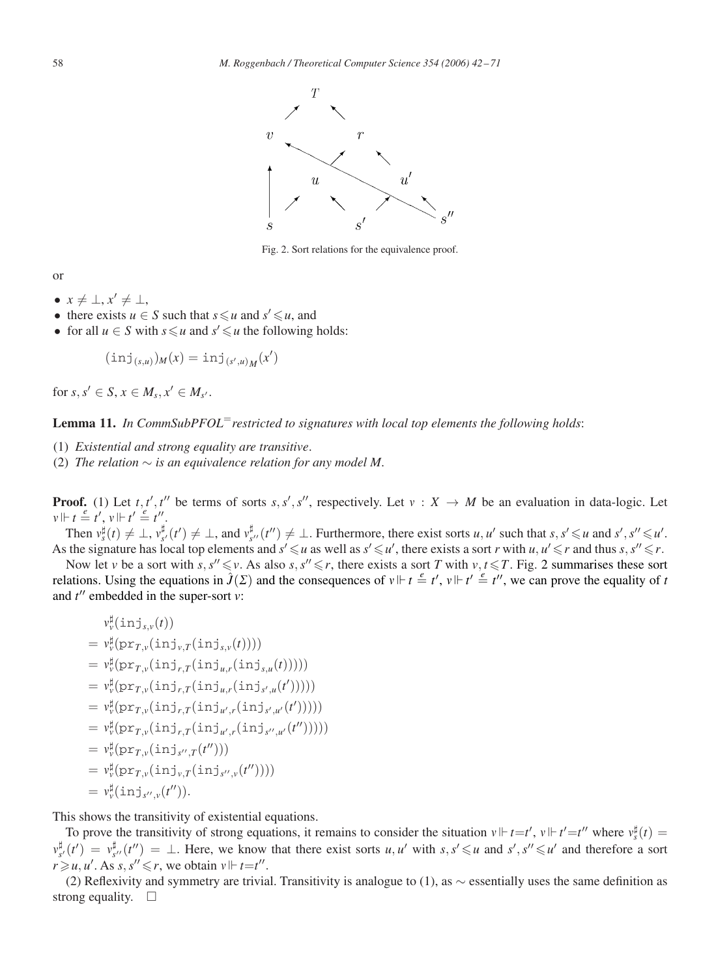

Fig. 2. Sort relations for the equivalence proof.

or

- $x \neq \bot, x' \neq \bot,$
- there exists  $u \in S$  such that  $s \leq u$  and  $s' \leq u$ , and
- for all  $u \in S$  with  $s \leq u$  and  $s' \leq u$  the following holds:

$$
(\text{inj}_{(s,u)})_M(x) = \text{inj}_{(s',u)_M}(x')
$$

for  $s, s' \in S, x \in M_s, x' \in M_{s'}$ .



- (1) *Existential and strong equality are transitive*.
- (2) *The relation* ∼ *is an equivalence relation for any model M*.

**Proof.** (1) Let *t*, *t'*, *t''* be terms of sorts *s*, *s'*, *s''*, respectively. Let  $v : X \to M$  be an evaluation in data-logic. Let  $v \mapsto t \cdot \frac{e}{f} t'$ ,  $v \mapsto t' \cdot \frac{e}{f} t''$  $v \Vdash t = t'$ ,  $v \Vdash t' = t''$ 

Then  $v_s^{\sharp}(t) \neq \bot$ ,  $v_{s'}^{\sharp}(t') \neq \bot$ , and  $v_{s''}^{\sharp}(t'') \neq \bot$ . Furthermore, there exist sorts u, u' such that  $s, s' \leq u$  and  $s', s'' \leq u'$ .<br>the signature has local top elements and  $s' \leq u$  as well as  $s' \leq u'$  there exi As the signature has local top elements and  $s' \le u$  as well as  $s' \le u'$ , there exists a sort *r* with *u*,  $u' \le r$  and thus  $s, s'' \le r$ .<br>Now let *v* be a sort with  $s, s'' \le v$ , As also  $s, s'' \le r$ , there exists a sort *T* with

Now let *v* be a sort with  $s, s'' \leq v$ . As also  $s, s'' \leq r$ , there exists a sort *T* with  $v, t \leq T$ . Fig. 2 summarises these sort relations. Using the equations in  $\hat{J}(\Sigma)$  and the consequences of  $v \Vdash t \stackrel{e}{=} t'$ ,  $v \Vdash t' \stackrel{e}{=} t''$ , we can prove the equality of *t* and  $t''$  embedded in the super-sort *v*:

$$
\begin{aligned}\n&\nu^{\sharp}_{\nu}(\text{inj}_{s,v}(t)) \\
&= \nu^{\sharp}_{\nu}(\text{pr}_{T,\nu}(\text{inj}_{v,T}(\text{inj}_{s,v}(t)))) \\
&= \nu^{\sharp}_{\nu}(\text{pr}_{T,v}(\text{inj}_{r,T}(\text{inj}_{u,r}(\text{inj}_{s,u}(t)))))) \\
&= \nu^{\sharp}_{\nu}(\text{pr}_{T,v}(\text{inj}_{r,T}(\text{inj}_{u,r}(\text{inj}_{s',u}(t'))))) \\
&= \nu^{\sharp}_{\nu}(\text{pr}_{T,v}(\text{inj}_{r,T}(\text{inj}_{u',r}(\text{inj}_{s',u'}(t'))))) \\
&= \nu^{\sharp}_{\nu}(\text{pr}_{T,v}(\text{inj}_{r,T}(\text{inj}_{u',r}(\text{inj}_{s'',u'}(t''))))) \\
&= \nu^{\sharp}_{\nu}(\text{pr}_{T,v}(\text{inj}_{s'',T}(t''))) \\
&= \nu^{\sharp}_{\nu}(\text{pr}_{T,v}(\text{inj}_{s'',T}(\text{inj}_{s'',v'}(t'')))) \\
&= \nu^{\sharp}_{\nu}(\text{inj}_{s'',v}(t'')).\n\end{aligned}
$$

This shows the transitivity of existential equations.

To prove the transitivity of strong equations, it remains to consider the situation  $v \Vdash t = t'$ ,  $v \Vdash t' = t''$  where  $v_s^{\sharp}(t) =$  $v_{s'}^{\sharp}(t') = v_{s'}^{\sharp}(\mu') = \bot$ . Here, we know that there exist sorts *u, u'* with *s, s'*  $\leq u$  and *s', s''*  $\leq u'$  and therefore a sort  $s' \geq u'$  As s s''  $\leq r$  we obtain  $v \Vdash t-t''$  $r \ge u, u'$ . As *s*,  $s'' \le r$ , we obtain  $v \Vdash t = t''$ <br>(2) Reflexivity and symmetry are trivi

*.* (2) Reflexivity and symmetry are trivial. Transitivity is analogue to (1), as ∼ essentially uses the same definition as strong equality.  $\square$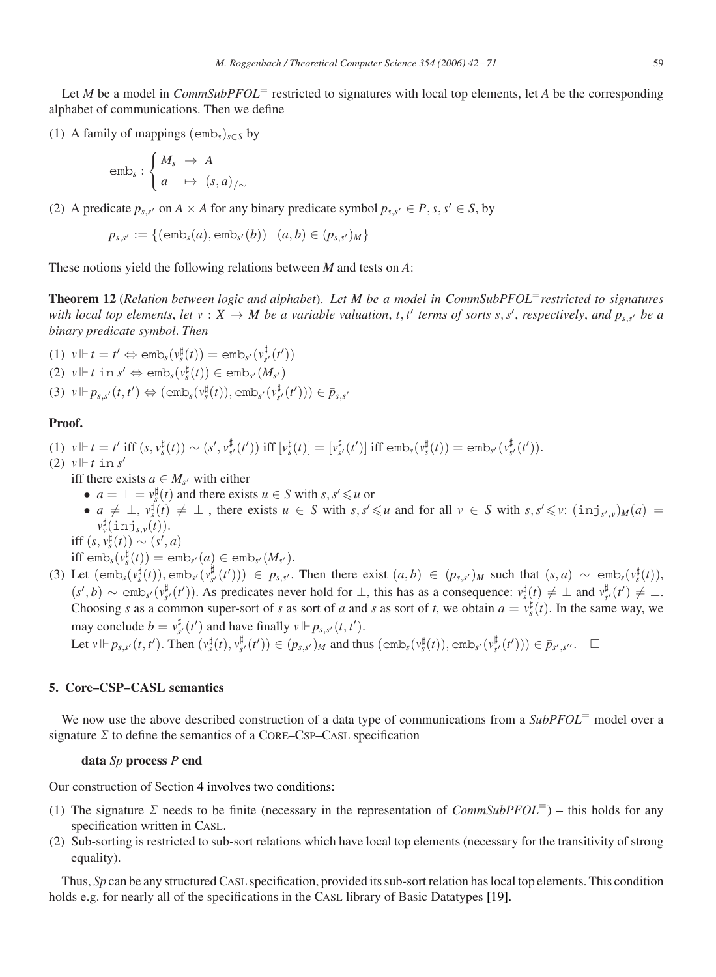<span id="page-17-0"></span>Let *M* be a model in *CommSubPFOL*<sup>=</sup> restricted to signatures with local top elements, let *A* be the corresponding alphabet of communications. Then we define

(1) A family of mappings  $(\text{emb}_s)_{s \in S}$  by

$$
emb_s: \begin{cases} M_s \to A \\ a \mapsto (s,a)_{/\sim} \end{cases}
$$

(2) A predicate  $\bar{p}_{s,s'}$  on  $A \times A$  for any binary predicate symbol  $p_{s,s'} \in P, s, s' \in S$ , by

$$
\bar{p}_{s,s'} := \{(\text{emb}_s(a), \text{emb}_{s'}(b)) \mid (a,b) \in (p_{s,s'})_M\}
$$

These notions yield the following relations between *M* and tests on *A*:

**Theorem 12** (*Relation between logic and alphabet*). *Let M be a model in CommSubPFOL*<sup>=</sup>*restricted to signatures with local top elements, let*  $v : X \to M$  *be a variable valuation, t, t' terms of sorts s, s', respectively, and*  $p_{s,s'}$  *be a binary predicate symbol. Then binary predicate symbol*. *Then*

- (1)  $v \Vdash t = t' \Leftrightarrow \text{emb}_s(v_s^{\sharp}(t)) = \text{emb}_{s'}(v_{s'}^{\sharp}(t'))$
- (2)  $v \Vdash t$  in  $s' \Leftrightarrow \text{emb}_s(v_s^{\sharp}(t)) \in \text{emb}_{s'}(M_{s'})$
- (3)  $v \Vdash p_{s,s'}(t,t') \Leftrightarrow (\text{emb}_s(v_s^{\sharp}(t)), \text{emb}_{s'}(v_{s'}^{\sharp}(t'))) \in \bar{p}_{s,s'}$

# **Proof.**

(1)  $v \Vdash t = t'$  iff  $(s, v_s^{\sharp}(t)) \sim (s', v_{s'}^{\sharp}(t'))$  iff  $[v_s^{\sharp}(t)] = [v_{s'}^{\sharp}(t')]$  iff  $\epsilon_{\text{emb}_s}(v_s^{\sharp}(t)) = \epsilon_{\text{emb}_{s'}}(v_{s'}^{\sharp}(t'))$ .<br>
(2)  $v \Vdash t$  in  $s'$ 

(2)  $v \Vdash t$  in  $s'$ 

iff there exists  $a \in M_{s'}$  with either

- $a = \bot = v_s^{\sharp}(t)$  and there exists  $u \in S$  with  $s, s' \leq u$  or
- $a \neq \bot$ ,  $v_s^{\sharp}(t) \neq \bot$ , there exists  $u \in S$  with  $s, s' \leq u$  and for all  $v \in S$  with  $s, s' \leq v$ :  $(\text{inj}_{s',v})_M(a) = v_s^{\sharp}(\text{inj}_{s',v})$  $v_v^{\sharp}(\text{inj}_{s,v}(t)).$ <br> $v^{\sharp}(t)$ )  $\geq (s')$
- iff  $(s, v_s^{\sharp}(t)) \sim (s', a)$ <br>iff emb  $(v^{\sharp}(t))$  − em

iff  $emb_s(v_s^{\sharp}(t)) = emb_{s'}(a) \in emb_{s'}(M_{s'})$ .<br> *I* at  $(\text{cm}_s(v_s^{\sharp}(t)))$  and  $(v_s^{\sharp}(t'))$ 

(3) Let  $(\text{emb}_s(v_s^{\sharp}(t)), \text{emb}_{s'}(v_s^{\sharp}(t'))) \in \bar{p}_{s,s'}$ . Then there exist  $(a,b) \in (p_{s,s'})_M$  such that  $(s,a) \sim \text{emb}_s(v_s^{\sharp}(t)),$ <br> $(s',b)$  and  $(s^{\sharp}(t'))$ , as anoticates nouse hold for Likin has as a consequence with  $(s,a) \sim \text{emb}_s(v_s^{\sharp}(t)),$  $(s', b) \sim \text{emb}_{s'}(v_{s'}^{\sharp}(t'))$ . As predicates never hold for  $\bot$ , this has as a consequence:  $v_{s}^{\sharp}(t) \neq \bot$  and  $v_{s'}^{\sharp}(t') \neq \bot$ .<br>Choosing s as a common super-sort of s as sort of a and s as sort of t, we obtain a  $-v^{\sharp}($ Choosing *s* as a common super-sort of *s* as sort of *a* and *s* as sort of *t*, we obtain  $a = v_s^{\sharp}(t)$ . In the same way, we may conclude  $b = v_{s'}^{\sharp}(t')$  and have finally  $v \Vdash p_{s,s'}(t,t')$ . Let  $v \Vdash p_{s,s'}(t,t')$ . Then  $(v_s^{\sharp}(t), v_{s'}^{\sharp}(t')) \in (p_{s,s'})_M$  and thus  $(\text{emb}_s(v_s^{\sharp}(t)), \text{emb}_{s'}(v_{s'}^{\sharp}(t'))) \in \bar{p}_{s',s''}. \square$ 

# **5. Core–CSP–CASL semantics**

We now use the above described construction of a data type of communications from a  $\mathit{SubPFOL}^=$  model over a signature  $\Sigma$  to define the semantics of a CORE–CSP–CASL specification

# **data** *Sp* **process** *P* **end**

Our construction of Section [4](#page-5-0) involves two conditions:

- (1) The signature  $\Sigma$  needs to be finite (necessary in the representation of *CommSubPFOL*<sup>=</sup>) this holds for any specification written in CASL.
- (2) Sub-sorting is restricted to sub-sort relations which have local top elements (necessary for the transitivity of strong equality).

Thus, *Sp* can be any structured CASL specification, provided its sub-sort relation has local top elements. This condition holds e.g. for nearly all of the specifications in the CASL library of Basic Datatypes [\[19\].](#page-29-0)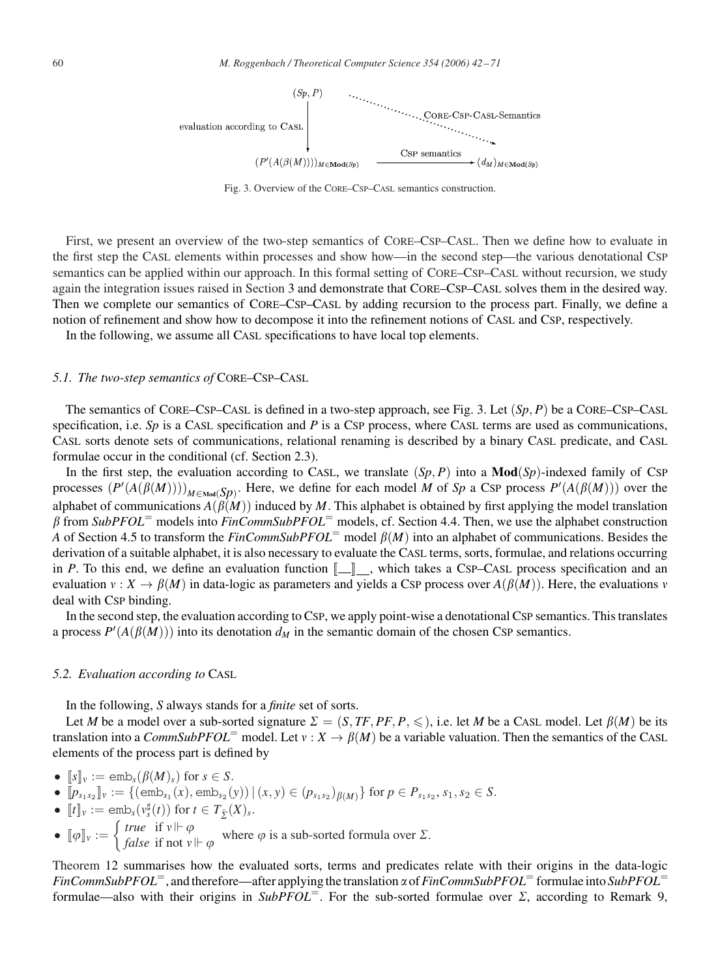<span id="page-18-0"></span>

Fig. 3. Overview of the CORE–CSP–CASL semantics construction.

First, we present an overview of the two-step semantics of CORE–CSP–CASL. Then we define how to evaluate in the first step the CASL elements within processes and show how—in the second step—the various denotational CSP semantics can be applied within our approach. In this formal setting of CORE–CSP–CASL without recursion, we study again the integration issues raised in Section [3](#page-3-0) and demonstrate that CORE–CSP–CASL solves them in the desired way. Then we complete our semantics of CORE–CSP–CASL by adding recursion to the process part. Finally, we define a notion of refinement and show how to decompose it into the refinement notions of CASL and CSP, respectively.

In the following, we assume all CASL specifications to have local top elements.

#### *5.1. The two-step semantics of* CORE*–*CSP*–*CASL

The semantics of CORE–CSP–CASL is defined in a two-step approach, see Fig. 3. Let (*Sp, <sup>P</sup>*) be a CORE–CSP–CASL specification, i.e.  $Sp$  is a CASL specification and  $P$  is a CSP process, where CASL terms are used as communications, CASL sorts denote sets of communications, relational renaming is described by a binary CASL predicate, and CASL formulae occur in the conditional (cf. Section [2.3\)](#page-2-0).

In the first step, the evaluation according to CASL, we translate  $(S_p, P)$  into a **Mod** $(S_p)$ -indexed family of CSP processes  $(P'(A(\beta(M))))_{M \in \text{Mod}(Sp)}$ . Here, we define for each model *M* of *Sp* a CSP process  $P'(A(\beta(M)))$  over the alphabet of communications  $A(\beta(M))$  induced by *M*. This alphabet is obtained by first applying the model translation  $\beta$  from *SubPFOL*<sup>=</sup> models into *FinCommSubPFOL*<sup>=</sup> models, cf. Section [4.4.](#page-13-0) Then, we use the alphabet construction *A* of Section [4.5](#page-15-0) to transform the *FinCommSubPFOL*<sup>=</sup> model  $\beta(M)$  into an alphabet of communications. Besides the derivation of a suitable alphabet, it is also necessary to evaluate the CASL terms, sorts, formulae, and relations occurring in *P*. To this end, we define an evaluation function  $\llbracket \_\_\_\right)$ , which takes a CSP–CASL process specification and an evaluation  $v : X \to \beta(M)$  in data-logic as parameters and yields a CsP process over  $A(\beta(M))$ . Here, the evaluations v deal with CSP binding.

In the second step, the evaluation according to CSP, we apply point-wise a denotational CSP semantics. This translates a process  $P'(A(\beta(M)))$  into its denotation  $d_M$  in the semantic domain of the chosen CSP semantics.

# *5.2. Evaluation according to* CASL

In the following, *S* always stands for a *finite* set of sorts.

Let *M* be a model over a sub-sorted signature  $\Sigma = (S, TF, PF, P, \leq),$  i.e. let *M* be a CASL model. Let  $\beta(M)$  be its relation into a *CommSubPEOI*<sup>=</sup> model. Let  $y \cdot Y \rightarrow \beta(M)$  be a variable valuation. Then the semantics of the translation into a *CommSubPFOL*<sup>=</sup> model. Let  $v : X \to \beta(M)$  be a variable valuation. Then the semantics of the CASL elements of the process part is defined by

- $[s]_v := \text{emb}_s(\beta(M)_s)$  for  $s \in S$ .
- $[\![p_{s_1s_2}]\!]_v := \{(\text{emb}_{s_1}(x), \text{emb}_{s_2}(y)) \mid (x, y) \in (p_{s_1s_2})_{\beta(M)}\}$  for  $p \in P_{s_1s_2}, s_1, s_2 \in S$ .
- $[t]_v := \text{emb}_s(v_s^{\sharp}(t))$  for  $t \in T_{\hat{\Sigma}}(X)_s$ .
- $[\![\varphi]\!]_v := \begin{cases} \text{true} & \text{if } v \Vdash \varphi \\ \text{false} & \text{if not } v \Vdash \varphi \end{cases}$  where  $\varphi$  is a sub-sorted formula over  $\Sigma$ .

Theorem [12](#page-17-0) summarises how the evaluated sorts, terms and predicates relate with their origins in the data-logic *FinCommSubPFOL*<sup>=</sup>, and therefore—after applying the translation  $\alpha$  of *FinCommSubPFOL*<sup>=</sup> formulae into *SubPFOL*<sup>=</sup> formulae—also with their origins in  $SubPFOL^=$ . For the sub-sorted formulae over  $\Sigma$ , according to Remark [9,](#page-15-0)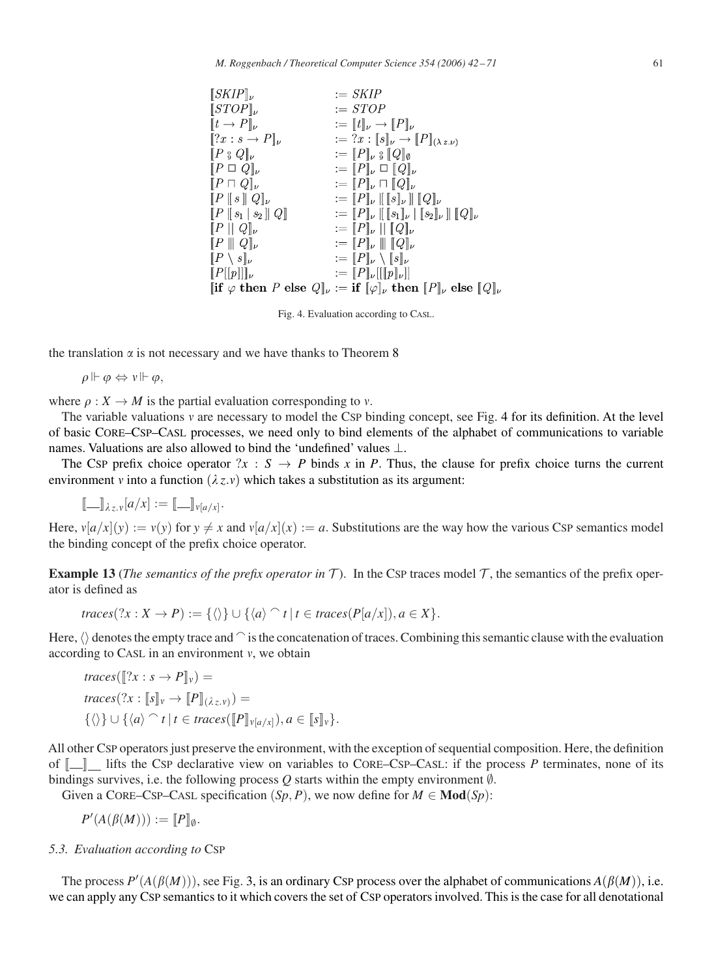<span id="page-19-0"></span>

| $[SKIP]_{\nu}$                                          | $:= SKIP$                                                                                                                                                                                       |
|---------------------------------------------------------|-------------------------------------------------------------------------------------------------------------------------------------------------------------------------------------------------|
| $\llbracket STOP \rrbracket_{\nu}$                      | $:= STOP$                                                                                                                                                                                       |
| $[t \rightarrow P]_{\nu}$                               | $:= [t]_{\nu} \to [P]_{\nu}$                                                                                                                                                                    |
| $[?x:s\rightarrow P]_{\nu}$                             | $:=?x : [s]_{\nu} \rightarrow [P]_{(\lambda z.\nu)}$                                                                                                                                            |
| $[$ P $\frac{1}{9}$ $Q$ $]$ <sub>v</sub>                | $:=\ P\ _{\nu\, \, \S}\, \ Q\ _{\emptyset}$                                                                                                                                                     |
| $[ P \sqcup Q ]_{\nu}$                                  | $:= \llbracket P \rrbracket_\nu \sqcup \llbracket Q \rrbracket_\nu$                                                                                                                             |
| $  P\sqcap Q  _{\nu}$                                   | $:= [P]_{\nu} \sqcap [Q]_{\nu}$                                                                                                                                                                 |
| $  P  s  Q  _{\nu}$                                     | $:= \llbracket P \rrbracket_{\nu} \, \llbracket \, \llbracket s \rrbracket_{\nu} \, \llbracket \, \llbracket Q \rrbracket_{\nu}$                                                                |
| $\left\ P\right\ s_1\,\left\ s_2\right\ Q\right\ $      | $\mathcal{C} := \llbracket P \rrbracket_{\nu} \, \llbracket \, \llbracket s_1 \rrbracket_{\nu} \, \rrbracket \, \llbracket s_2 \rrbracket_{\nu} \, \rrbracket \, \llbracket Q \rrbracket_{\nu}$ |
| $[$ P $  Q$ <sub><math>\nu</math></sub>                 | $:= [P]_{\nu} \parallel [Q]_{\nu}$                                                                                                                                                              |
| $\llbracket P \parallel \!\parallel Q \rrbracket_{\nu}$ | $:= \llbracket P \rrbracket_{\nu} \parallel \llbracket Q \rrbracket_{\nu}$                                                                                                                      |
| $  P \setminus s  _{\nu}$                               | $:= \ P\ _{\nu} \setminus \ s\ _{\nu}$                                                                                                                                                          |
| $[ P[[p]]]_\nu$                                         | $:= \ P\ _{\nu}   \ p\ _{\nu}   $                                                                                                                                                               |
|                                                         | $\ \text{if } \varphi \text{ then } P \text{ else } Q\ _{\nu} := \text{if } \ \varphi\ _{\nu} \text{ then } \ P\ _{\nu} \text{ else } \ Q\ _{\nu}$                                              |

Fig. 4. Evaluation according to CASL.

the translation  $\alpha$  is not necessary and we have thanks to Theorem [8](#page-14-0)

 $\rho \Vdash \varphi \Leftrightarrow v \Vdash \varphi,$ 

where  $\rho: X \to M$  is the partial evaluation corresponding to *v*.

The variable valuations  $\nu$  are necessary to model the CSP binding concept, see Fig. 4 for its definition. At the level of basic CORE–CSP–CASL processes, we need only to bind elements of the alphabet of communications to variable names. Valuations are also allowed to bind the 'undefined' values ⊥.

The CSP prefix choice operator  $?x : S \rightarrow P$  binds x in P. Thus, the clause for prefix choice turns the current environment *v* into a function  $(\lambda z.v)$  which takes a substitution as its argument:

$$
\llbracket \_\_\lambda_{z,v} [a/x] := \llbracket \_\_\nu_{[a/x]}.
$$

Here,  $v[a/x](y) := v(y)$  for  $y \neq x$  and  $v[a/x](x) := a$ . Substitutions are the way how the various CSP semantics model the binding concept of the prefix choice operator.

**Example 13** (*The semantics of the prefix operator in*  $\mathcal{T}$ ). In the CSP traces model  $\mathcal{T}$ , the semantics of the prefix operator is defined as

*traces*(?*x* : *X* → *P*) := { $\langle \rangle$ }  $\cup$  { $\langle a \rangle$   $\cap$  *t* | *t* ∈ *traces*(*P*[*a*/*x*])*, a* ∈ *X* }.

Here,  $\langle \rangle$  denotes the empty trace and  $\cap$  is the concatenation of traces. Combining this semantic clause with the evaluation according to CASL in an environment  $v$ , we obtain

$$
traces([\![?x : s \rightarrow P]\!]_v) =
$$
  
\n
$$
traces(?x : [\![s]\!]_v \rightarrow [\![P]\!]_{(\lambda z, v)}) =
$$
  
\n
$$
\{\langle \rangle\} \cup \{\langle a \rangle \cap t | t \in traces([\![P]\!]_{v[a/x]})}, a \in [\![s]\!]_v\}.
$$

All other CSP operators just preserve the environment, with the exception of sequential composition. Here, the definition of [[ ]] lifts the CSP declarative view on variables to CORE–CSP–CASL: if the process *P* terminates, none of its bindings survives, i.e. the following process *<sup>Q</sup>* starts within the empty environment <sup>∅</sup>*.*

Given a CORE–CSP–CASL specification  $(Sp, P)$ , we now define for  $M \in \text{Mod}(Sp)$ :

$$
P'(A(\beta(M))) := [P]_{\emptyset}.
$$

#### *5.3. Evaluation according to* CSP

The process  $P'(A(\beta(M)))$ , see Fig. [3,](#page-18-0) is an ordinary CSP process over the alphabet of communications  $A(\beta(M))$ , i.e. we can apply any CSP semantics to it which covers the set of CSP operators involved. This is the case for all denotational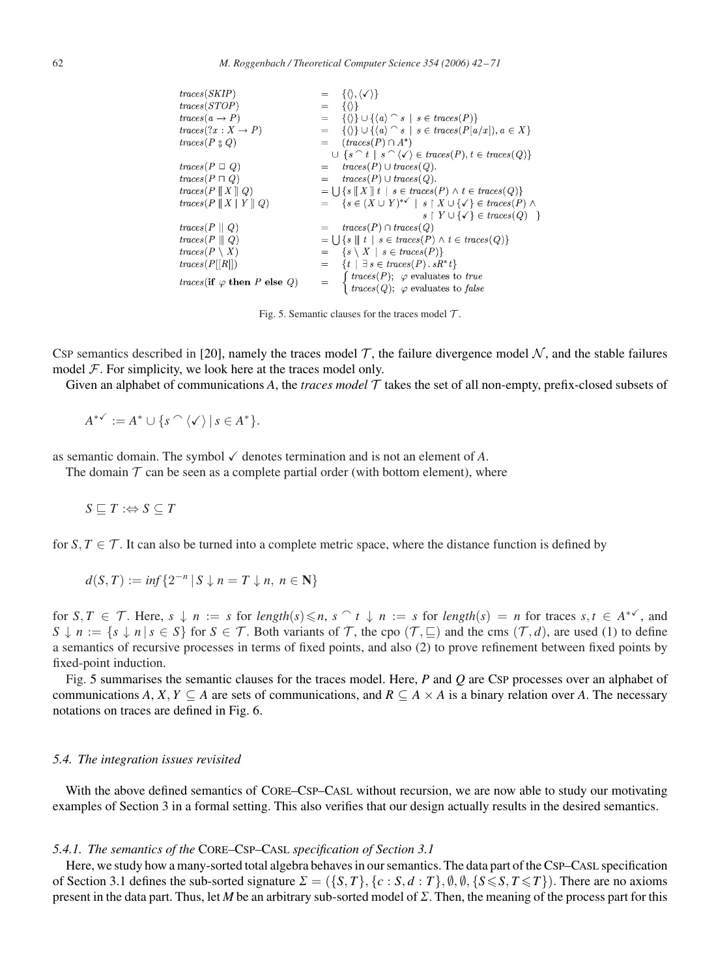$traces(SKIP)$  $= \{\langle \rangle, \langle \checkmark \rangle\}$ = {\}<br>
= {\} U} \{\alpha} \} \left\{\alpha} \} \left\ \left\ \left\ \left\ \left\ \left\ \left\ \left\ \left\ \left\ \left\ \left\ \left\ \left\ \left\ \left\ \left\ \left\ \left\ \left\ \left\ \left\ \left\ \left\ \left\  $traces(STOP)$  $traces(a \rightarrow P)$  $traces(?x : X \rightarrow P)$  $traces(P \underset{\theta}{\circ} Q)$  $\cup$  {s  $\cap$  t | s  $\cap$   $\langle \checkmark \rangle \in \text{traces}(P), t \in \text{traces}(Q)$ }  $traces(P \sqcup Q)$  $= trace(P) \cup traces(Q).$  $traces(P \sqcap Q)$  $= trace(P) \cup traces(Q).$  $traces(P \parallel X \parallel Q)$  $=\bigcup \{s \mid X \mid t \mid s \in traces(P) \land t \in traces(Q)\}\$  $traces(P \parallel X \mid Y \parallel Q)$  $s = \{ s \in (X \cup Y)^{*_\checkmark} \mid s \restriction X \cup \{\checkmark\} \in \mathit{traces}(P) \land \}$  $s \upharpoonright Y \cup \{ \checkmark \} \in \mathit{traces}(Q)$  }  $= trace(P) \cap traces(Q)$  $traces(P \mid \mid Q)$  $= \bigcup \{ s \parallel t \mid s \in \text{traces}(P) \land t \in \text{traces}(Q) \}$  $traces(P \parallel Q)$  $traces(P\setminus X)$  $= \{ s \setminus X \mid s \in \text{traces}(P) \}$  $traces(P[[R]])$  $= \{t \mid \exists s \in traces(P). sR^*t\}$  $\begin{cases} traces(P); & \varphi \text{ evaluates to } true \\ traces(Q); & \varphi \text{ evaluates to } false \end{cases}$ *traces*(if  $\varphi$  then P else Q)  $=$ 

Fig. 5. Semantic clauses for the traces model  $\mathcal{T}$ .

CSP semantics described in [\[20\],](#page-29-0) namely the traces model  $\mathcal{T}$ , the failure divergence model  $\mathcal{N}$ , and the stable failures model  $F$ . For simplicity, we look here at the traces model only.

Given an alphabet of communications A, the *traces model*  $\mathcal T$  takes the set of all non-empty, prefix-closed subsets of

 $A^{* \checkmark} := A^* \cup \{ s \cap \langle \checkmark \rangle \mid s \in A^* \}.$ 

as semantic domain. The symbol  $\checkmark$  denotes termination and is not an element of *A*.

The domain  $T$  can be seen as a complete partial order (with bottom element), where

*S*  $\sqsubseteq$  *T* :⇔ *S*  $\subseteq$  *T* 

for  $S, T \in \mathcal{T}$ . It can also be turned into a complete metric space, where the distance function is defined by

$$
d(S,T) := \inf\{2^{-n} | S \downarrow n = T \downarrow n, n \in \mathbb{N}\}\
$$

for  $S, T \in \mathcal{T}$ . Here,  $s \downarrow n := s$  for length(s)  $\leq n$ ,  $s \cap t \downarrow n := s$  for length(s) = n for traces  $s, t \in A^{*\checkmark}$ , and  $S \downarrow n := \{ s \downarrow n | s \in S \}$  for  $S \in \mathcal{T}$ . Both variants of  $\mathcal{T}$ , the cpo  $(\mathcal{T}, \sqsubseteq)$  and the cms  $(\mathcal{T}, d)$ , are used (1) to define a semantics of recursive processes in terms of fixed points, and also (2) to prove refinement between fixed points by fixed-point induction.

Fig. 5 summarises the semantic clauses for the traces model. Here, *P* and *Q* are CSP processes over an alphabet of communications *A*, *X*, *Y*  $\subseteq$  *A* are sets of communications, and *R*  $\subseteq$  *A*  $\times$  *A* is a binary relation over *A*. The necessary notations on traces are defined in Fig. [6.](#page-21-0)

#### *5.4. The integration issues revisited*

With the above defined semantics of CORE–CSP–CASL without recursion, we are now able to study our motivating examples of Section [3](#page-3-0) in a formal setting. This also verifies that our design actually results in the desired semantics.

#### *5.4.1. The semantics of the* CORE*–*CSP*–*CASL *specification of Section [3.1](#page-3-0)*

Here, we study how a many-sorted total algebra behaves in our semantics. The data part of the CSP–CASL specification of Section [3.1](#page-3-0) defines the sub-sorted signature  $\Sigma = (\{S, T\}, \{c : S, d : T\}, \emptyset, \emptyset, \{S \le S, T \le T\})$ . There are no axioms of the data part Thus let M be an arbitrary sub-sorted model of  $\Sigma$ . Then, the meaning of the process part present in the data part. Thus, let *M* be an arbitrary sub-sorted model of  $\Sigma$ . Then, the meaning of the process part for this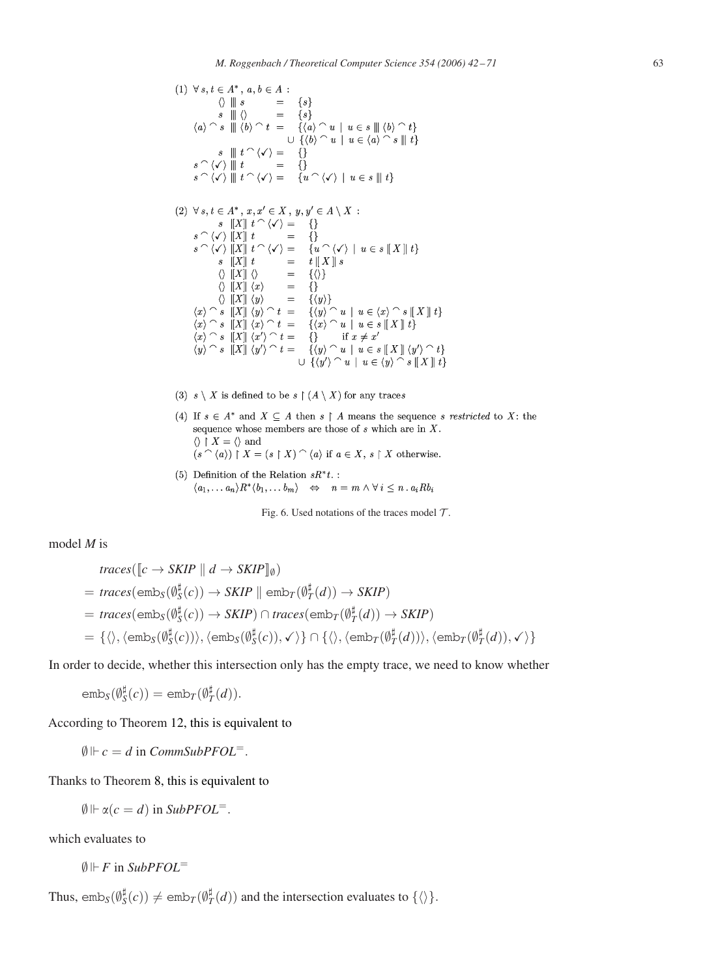<span id="page-21-0"></span>
$$
(1) \forall s, t \in A^*, a, b \in A:
$$
  
\n
$$
\langle \rangle \parallel s = \{s\}
$$
  
\n
$$
s \parallel \langle \rangle = \{s\}
$$
  
\n
$$
\langle a \rangle \cap s \parallel \langle b \rangle \cap t = \{ \langle a \rangle \cap u \mid u \in s \parallel \langle b \rangle \cap t \}
$$
  
\n
$$
\cup \{ \langle b \rangle \cap u \mid u \in \langle a \rangle \cap s \parallel t \}
$$
  
\n
$$
s \parallel t \cap \langle \vee \rangle = \{ \}
$$
  
\n
$$
s \cap \langle \vee \rangle \parallel t \cap \langle \vee \rangle = \{ u \cap \langle \vee \rangle \mid u \in s \parallel t \}
$$

$$
(2) \forall s, t \in A^*, x, x' \in X, y, y' \in A \setminus X :
$$
\n
$$
s \quad [X] \quad t \land (\checkmark) = \{\}
$$
\n
$$
s \land (\checkmark) \quad [X] \quad t \quad = \{\}
$$
\n
$$
s \land (\checkmark) \quad [X] \quad t \quad = \{\} \quad (s \land (\checkmark) \quad u \in s \quad [[X] \quad t \}
$$
\n
$$
s \quad [[X] \quad t \quad = \quad t \quad [[X] \quad s \quad \langle \rangle \quad [[X] \quad \langle \rangle \quad = \quad \langle \langle \rangle \}
$$
\n
$$
\langle \rangle \quad [[X] \quad \langle \rangle \quad = \quad \langle \langle \rangle \}
$$
\n
$$
\langle \rangle \quad [[X] \quad \langle \rangle \quad = \quad \langle \langle \rangle \rangle \}
$$
\n
$$
\langle x \rangle \land s \quad [[X] \quad \langle y \rangle \land t \quad = \quad \langle \langle y \rangle \land u \mid u \in \langle x \rangle \land s \quad [[X] \quad t \} \rangle
$$
\n
$$
\langle x \rangle \land s \quad [[X] \quad \langle y \rangle \land t \quad = \quad \langle \langle x \rangle \land u \mid u \in s \quad [[X] \quad t \} \rangle
$$
\n
$$
\langle x \rangle \land s \quad [[X] \quad \langle x \rangle \land t \quad = \quad \langle \langle x \rangle \land u \mid u \in s \quad [[X] \quad \langle y \rangle \land t \} \rangle
$$
\n
$$
\langle y \rangle \land s \quad [[X] \quad \langle y \rangle \land t \quad = \quad \langle \langle y \rangle \land u \mid u \in \langle y \rangle \land s \quad [[X] \quad t \} \rangle
$$
\n
$$
\cup \quad \{ \langle y \rangle \land u \mid u \in \langle y \rangle \land s \quad [[X] \quad t \} \rangle
$$

- (3)  $s \setminus X$  is defined to be  $s \restriction (A \setminus X)$  for any traces
- (4) If  $s \in A^*$  and  $X \subseteq A$  then  $s \upharpoonright A$  means the sequence s restricted to X: the sequence whose members are those of  $s$  which are in  $X$ .  $\langle\rangle \restriction X = \langle\rangle$  and  $(s \cap \langle a \rangle) \upharpoonright X = (s \upharpoonright X) \cap \langle a \rangle$  if  $a \in X$ ,  $s \upharpoonright X$  otherwise.
- (5) Definition of the Relation  $sR^*t$ .:
	- $\langle a_1, \ldots a_n \rangle R^* \langle b_1, \ldots b_m \rangle \Leftrightarrow n = m \wedge \forall i \leq n \cdot a_i R b_i$

Fig. 6. Used notations of the traces model  $\mathcal{T}$ .

# model *M* is

$$
traces([\![c \to SKIP \; || \; d \to SKIP \; || \; d))
$$
\n
$$
= traces(\mathrm{emb}_S(\emptyset_S^{\sharp}(c)) \to SKIP \; || \; \mathrm{emb}_T(\emptyset_T^{\sharp}(d)) \to SKIP)
$$
\n
$$
= traces(\mathrm{emb}_S(\emptyset_S^{\sharp}(c)) \to SKIP) \cap traces(\mathrm{emb}_T(\emptyset_T^{\sharp}(d)) \to SKIP)
$$
\n
$$
= {\langle \rangle, \langle \mathrm{emb}_S(\emptyset_S^{\sharp}(c)) \rangle, \langle \mathrm{emb}_S(\emptyset_S^{\sharp}(c)), \checkmark \rangle } \cap {\langle \rangle, \langle \mathrm{emb}_T(\emptyset_T^{\sharp}(d)) \rangle, \langle \mathrm{emb}_T(\emptyset_T^{\sharp}(d)), \checkmark \rangle }
$$

In order to decide, whether this intersection only has the empty trace, we need to know whether

$$
\mathrm{emb}_S(\emptyset^\sharp_S(c)) = \mathrm{emb}_T(\emptyset^\sharp_T(d)).
$$

According to Theorem [12,](#page-17-0) this is equivalent to

$$
\emptyset \Vdash c = d \text{ in } CommSubP FOL^=.
$$

Thanks to Theorem [8,](#page-14-0) this is equivalent to

$$
\emptyset \Vdash \alpha(c=d) \text{ in } SubPFOL^=.
$$

which evaluates to

$$
\emptyset \Vdash F \text{ in } \mathit{SubPFOL}^=
$$

Thus,  $\epsilon \text{mb}_S(\emptyset_S^{\sharp}(c)) \neq \epsilon \text{mb}_T(\emptyset_T^{\sharp}(d))$  and the intersection evaluates to  $\{\langle \rangle\}.$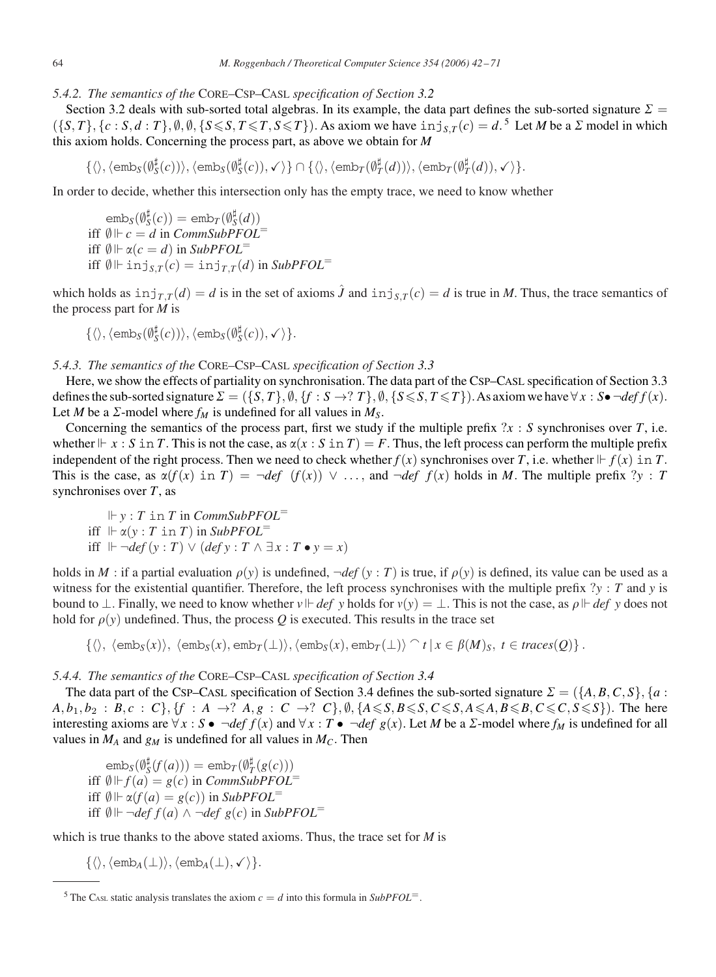# *5.4.2. The semantics of the* CORE*–*CSP*–*CASL *specification of Section [3.2](#page-3-0)*

Section [3.2](#page-3-0) deals with sub-sorted total algebras. In its example, the data part defines the sub-sorted signature  $\Sigma =$  $(\{S,T\}, \{c: S, d:T\}, \emptyset, \emptyset, \{S \leq S, T \leq T, S \leq T\})$ . As axiom we have  $\{inj}_{S,T}(c) = d$ .<sup>5</sup> Let M be a  $\Sigma$  model in which this axiom holds. Concerning the process part as above we obtain for M this axiom holds. Concerning the process part, as above we obtain for *M*

 $\{\langle \rangle, \langle \text{emb}_S(\emptyset^\sharp_S(c)) \rangle, \langle \text{emb}_S(\emptyset^\sharp_S(c)), \checkmark \} \cap \{\langle \rangle, \langle \text{emb}_T(\emptyset^\sharp_T(d)) \rangle, \langle \text{emb}_T(\emptyset^\sharp_T(d)), \checkmark \} \}.$ 

In order to decide, whether this intersection only has the empty trace, we need to know whether

 $\mathrm{emb}_{S}(\emptyset^{\sharp}_{S}(c)) = \mathrm{emb}_{T}(\emptyset^{\sharp}_{S}(d))$ iff  $\emptyset \Vdash c = d$  in *CommSubPFOL*<sup>=</sup> iff  $\emptyset \vdash \alpha(c = d)$  in *SubPFOL*<sup>=</sup> iff  $\emptyset \vdash \text{inj}_{S,T}(c) = \text{inj}_{T,T}(d)$  in *SubPFOL*<sup>=</sup>

which holds as  $\text{inj}_{T,T}(d) = d$  is in the set of axioms  $\hat{J}$  and  $\text{inj}_{S,T}(c) = d$  is true in *M*. Thus, the trace semantics of the process part for *M* is

$$
\{\langle \rangle, \langle \text{emb}_S(\emptyset^\sharp_S(c)) \rangle, \langle \text{emb}_S(\emptyset^\sharp_S(c)), \checkmark \rangle\}.
$$

*5.4.3. The semantics of the* CORE*–*CSP*–*CASL *specification of Section [3.3](#page-4-0)*

Here, we show the effects of partiality on synchronisation. The data part of the CSP–CASL specification of Section [3.3](#page-4-0) defines the sub-sorted signature  $\Sigma = (\{S, T\}, \emptyset, \{f : S \to ?T\}, \emptyset, \{S \le S, T \le T\})$ . As axiom we have  $\forall x : S \bullet \neg def f(x)$ .<br>Let M be a  $\Sigma$ -model where  $f_{\lambda}$  is undefined for all values in M<sub>c</sub> Let *M* be a  $\Sigma$ -model where  $f_M$  is undefined for all values in  $M_S$ .

Concerning the semantics of the process part, first we study if the multiple prefix  $?x : S$  synchronises over *T*, i.e. whether  $\Vdash x : S$  in *T*. This is not the case, as  $\alpha(x : S$  in  $T) = F$ . Thus, the left process can perform the multiple prefix<br>independent of the right process. Then we need to check whether  $f(x)$  synchronices over *T* i.e. independent of the right process. Then we need to check whether  $f(x)$  synchronises over *T*, i.e. whether  $\Vdash f(x)$  in *T*. This is the case, as  $\alpha(f(x) \text{ in } T) = \neg def (f(x)) \lor \dots$ , and  $\neg def (f(x) \text{ holds in } M$ . The multiple prefix ?*y* : *T* synchronises over *T* as synchronises over *T*, as

 $\Vdash y : T$  in *T* in *CommSubPFOL*<sup>=</sup> iff  $\vdash \alpha(y : T \text{ in } T)$  in *SubPFOL*<sup>=</sup> iff  $\Vdash \neg def$   $(y : T)$   $\lor$   $(\text{def } y : T \land \exists x : T \cdot y = x)$ 

holds in M : if a partial evaluation  $\rho(y)$  is undefined,  $\neg \text{def}(y : T)$  is true, if  $\rho(y)$  is defined, its value can be used as a witness for the existential quantifier. Therefore, the left process synchronises with the multiple prefix ?*y* : *T* and *y* is bound to  $\bot$ . Finally, we need to know whether  $v \Vdash def y$  holds for  $v(y) = \bot$ . This is not the case, as  $\rho \Vdash def y$  does not hold for  $\rho(y)$  undefined. Thus, the process Q is executed. This results in the trace set

 $\{\langle \rangle, \langle \text{emb}_{S}(x) \rangle, \langle \text{emb}_{S}(x), \text{emb}_{T}(\bot) \rangle, \langle \text{emb}_{S}(x), \text{emb}_{T}(\bot) \rangle \cap t | x \in \beta(M)_{S}, t \in \text{traces}(O) \}.$ 

*5.4.4. The semantics of the* CORE*–*CSP*–*CASL *specification of Section [3.4](#page-5-0)*

The data part of the CSP–CASL specification of Section [3.4](#page-5-0) defines the sub-sorted signature  $\Sigma = (\{A, B, C, S\}, \{a : b_1, b_2, B, C, C\}$ ,  $\{f : A \rightarrow ? A, g : C \rightarrow ? C\}$   $\emptyset$ ,  $\{A \le S, B \le S, C \le S, A \le A, B \le B, C \le C, S \le S\}$  $A, b_1, b_2 : B, c : C$ ,  $\{f : A \rightarrow ? A, g : C \rightarrow ? C\}$ ,  $\emptyset$ ,  $\{A \leqslant S, B \leqslant S, C \leqslant S, A \leqslant A, B \leqslant B, C \leqslant C, S \leqslant S\}$ ). The here interesting axioms are  $\forall x : S \bullet \neg \text{def } f(x)$  and  $\forall x : T \bullet \neg \text{def } g(x)$ . Let *M* be a *Σ*-model where *f<sub>M</sub>* is undefined for all values in  $M_A$  and  $g_M$  is undefined for all values in  $M_C$ . Then

 $\mathrm{emb}_{S}(\emptyset^{\sharp}_{S}(f(a))) = \mathrm{emb}_{T}(\emptyset^{\sharp}_{T}(g(c)))$ iff  $\emptyset \Vdash f(a) = g(c)$  in *CommSubPFOL*<sup>=</sup> iff  $\emptyset \Vdash \alpha(f(a) = g(c))$  in *SubPFOL*<sup>=</sup> iff  $\emptyset \Vdash \neg def f(a) \wedge \neg def g(c)$  in *SubPFOL*<sup>=</sup>

which is true thanks to the above stated axioms. Thus, the trace set for *M* is

 $\{\langle \rangle, \langle \text{emb}_A(\bot) \rangle, \langle \text{emb}_A(\bot), \checkmark \rangle \}.$ 

<sup>&</sup>lt;sup>5</sup> The C<sub>ASL</sub> static analysis translates the axiom  $c = d$  into this formula in *SubPFOL*<sup> $=$ </sup>.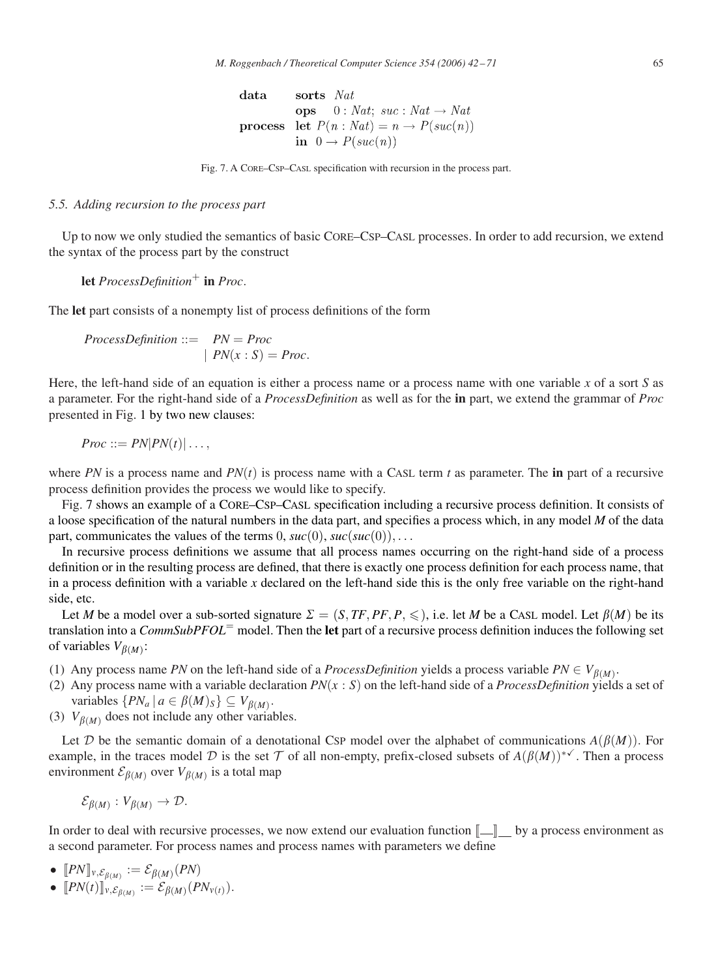data sorts Nat **ops**  $0: Nat; suc: Nat \rightarrow Nat$ **process** let  $P(n : Nat) = n \rightarrow P(suc(n))$ in  $0 \rightarrow P(suc(n))$ 

Fig. 7. A CORE–CSP–CASL specification with recursion in the process part.

#### *5.5. Adding recursion to the process part*

Up to now we only studied the semantics of basic CORE–CSP–CASL processes. In order to add recursion, we extend the syntax of the process part by the construct

**let** *ProcessDefinition*<sup>+</sup> **in** *Proc.*

The **let** part consists of a nonempty list of process definitions of the form

*ProcessDefinition* ::= *PN* = *Proc*  $P(N(x : S) = Proc$ .

Here, the left-hand side of an equation is either a process name or a process name with one variable *x* of a sort *S* as a parameter. For the right-hand side of a *ProcessDefinition* as well as for the **in** part, we extend the grammar of *Proc* presented in Fig. [1](#page-2-0) by two new clauses:

$$
Proc ::= PN|PN(t)| \ldots,
$$

where *PN* is a process name and  $PN(t)$  is process name with a CASL term *t* as parameter. The **in** part of a recursive process definition provides the process we would like to specify.

Fig. 7 shows an example of a CORE–CSP–CASL specification including a recursive process definition. It consists of a loose specification of the natural numbers in the data part, and specifies a process which, in any model *M* of the data part, communicates the values of the terms  $0$ ,  $suc(0)$ ,  $suc(suc(0))$ , ...

In recursive process definitions we assume that all process names occurring on the right-hand side of a process definition or in the resulting process are defined, that there is exactly one process definition for each process name, that in a process definition with a variable *x* declared on the left-hand side this is the only free variable on the right-hand side, etc.

Let *M* be a model over a sub-sorted signature  $\Sigma = (S, TF, PF, P, \leqslant)$ , i.e. let *M* be a CASL model. Let  $\beta(M)$  be its relation into a *CommSubPEOI* = model. Then the **let** part of a recursive process definition induces the translation into a *CommSubPFOL*<sup>=</sup> model. Then the **let** part of a recursive process definition induces the following set of variables  $V_{\beta(M)}$ :

- (1) Any process name *PN* on the left-hand side of a *ProcessDefinition* yields a process variable  $PN \in V_{\beta(M)}$ .
- (2) Any process name with a variable declaration *PN*(*x* : *S*) on the left-hand side of a *ProcessDefinition* yields a set of variables  $\{PN_a \mid a \in \beta(M)_S\} \subseteq V_{\beta(M)}$ .
- (3)  $V_{\beta(M)}$  does not include any other variables.

Let  $D$  be the semantic domain of a denotational CSP model over the alphabet of communications  $A(\beta(M))$ . For example, in the traces model D is the set T of all non-empty, prefix-closed subsets of  $A(\beta(M))^{*\checkmark}$ . Then a process environment  $\mathcal{E}_{\beta(M)}$  over  $V_{\beta(M)}$  is a total map

$$
\mathcal{E}_{\beta(M)}: V_{\beta(M)} \to \mathcal{D}
$$

In order to deal with recursive processes, we now extend our evaluation function  $\llbracket \_\_\_\_\_\_\_\_\_\_\_\_\_\_\_\_\_\_\_\_\_\_\_\_\_\_\_\_\_\_\_\_\_.\_$ a second parameter. For process names and process names with parameters we define

- $[PN]_{\nu,\mathcal{E}_{\beta(M)}} := \mathcal{E}_{\beta(M)}(PN)$
- $[PN(t)]_{v,\mathcal{E}_{\beta(M)}} := \mathcal{E}_{\beta(M)}(PN_{v(t)})$ .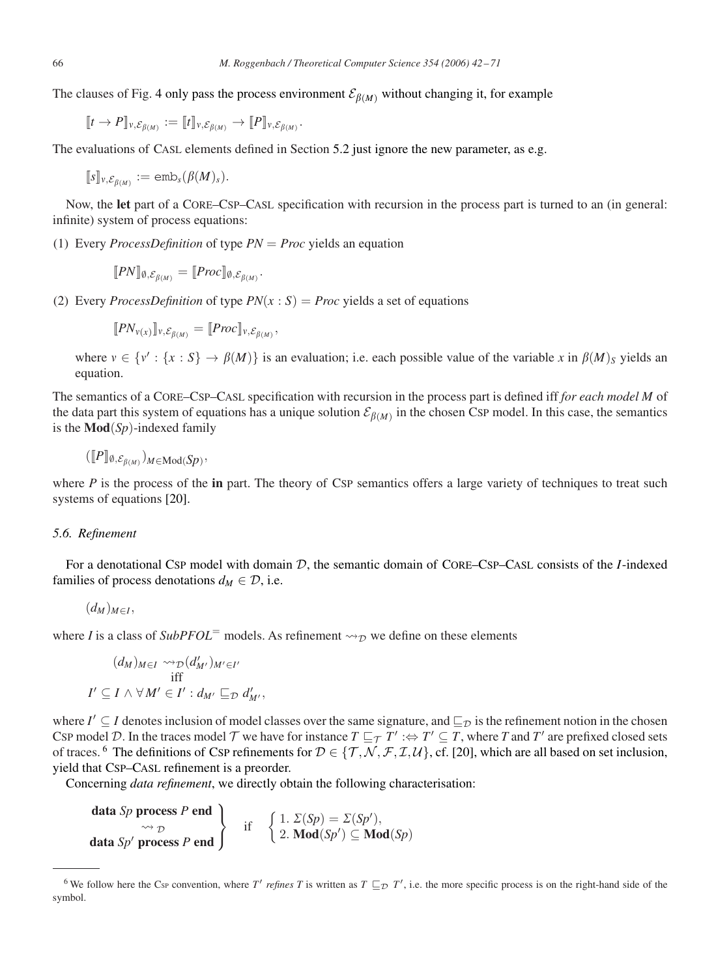<span id="page-24-0"></span>The clauses of Fig. [4](#page-19-0) only pass the process environment  $\mathcal{E}_{\beta(M)}$  without changing it, for example

$$
[\![t\rightarrow P]\!]_{\nu,\mathcal{E}_{\beta(M)}} := [\![t]\!]_{\nu,\mathcal{E}_{\beta(M)}} \rightarrow [\![P]\!]_{\nu,\mathcal{E}_{\beta(M)}}.
$$

The evaluations of CASL elements defined in Section [5.2](#page-18-0) just ignore the new parameter, as e.g.

 $[[s]]_{v,\mathcal{E}_{\beta(M)}} := \text{emb}_{s}(\beta(M)_{s}).$ 

Now, the **let** part of a CORE–CSP–CASL specification with recursion in the process part is turned to an (in general: infinite) system of process equations:

(1) Every *ProcessDefinition* of type *PN* = *Proc* yields an equation

$$
[\![PN]\!]_{\emptyset,\mathcal{E}_{\beta(M)}} = [\![Proc]\!]_{\emptyset,\mathcal{E}_{\beta(M)}}.
$$

(2) Every *ProcessDefinition* of type  $PN(x : S) = Proc$  yields a set of equations

$$
[\![PN_{v(x)}]\!]_{v,\mathcal{E}_{\beta(M)}} = [\![Proc]\!]_{v,\mathcal{E}_{\beta(M)}},
$$

where  $v \in \{v' : \{x : S\} \to \beta(M)\}$  is an evaluation; i.e. each possible value of the variable *x* in  $\beta(M)_S$  yields an equation.

The semantics of a CORE–CSP–CASL specification with recursion in the process part is defined iff *for each model M* of the data part this system of equations has a unique solution  $\mathcal{E}_{\beta(M)}$  in the chosen CSP model. In this case, the semantics is the **Mod**(*Sp*)-indexed family

$$
(\llbracket P \rrbracket_{\emptyset, \mathcal{E}_{\beta(M)}})_{M \in \text{Mod}(Sp)},
$$

where *P* is the process of the **in** part. The theory of CSP semantics offers a large variety of techniques to treat such systems of equations [\[20\].](#page-29-0)

# *5.6. Refinement*

For a denotational CSP model with domain D, the semantic domain of CORE–CSP–CASL consists of the *I*-indexed families of process denotations  $d_M \in \mathcal{D}$ , i.e.

$$
(d_M)_{M\in I},
$$

where *I* is a class of  $\text{SubPFOL}^=$  models. As refinement  $\rightsquigarrow_{\mathcal{D}}$  we define on these elements

$$
(d_M)_{M \in I} \rightsquigarrow_{\mathcal{D}} (d'_{M'})_{M' \in I'}
$$
  
iff  

$$
I' \subseteq I \land \forall M' \in I': d_{M'} \sqsubseteq_{\mathcal{D}} d'_{M'},
$$

where  $I' \subseteq I$  denotes inclusion of model classes over the same signature, and  $\sqsubseteq_{\mathcal{D}}$  is the refinement notion in the chosen CSP model D. In the traces model T we have for instance  $T \sqsubseteq_T T' : \Leftrightarrow T' \subseteq T$ , where T and T' are prefixed closed sets of traces. <sup>6</sup> The definitions of CSP refinements for  $D \in \{\mathcal{T}, \mathcal{N}, \mathcal{F}, \mathcal{I}, \mathcal{U}\}\,$ , cf. [\[20\],](#page-29-0) which are all based on set inclusion, yield that CSP–CASL refinement is a preorder.

Concerning *data refinement*, we directly obtain the following characterisation:

**data** *Sp* **process** *P* **end**  $\rightsquigarrow$   $\mathcal{D}$ **data** *Sp* **process** *P* **end**  $\mathcal{L}$  $\overline{y}$  $\overline{J}$ if  $\begin{cases} 1. \Sigma(Sp) = \Sigma(Sp'), \\ 2. \text{Mod}(Sp') \subset \mathbf{Mg}. \end{cases}$ 2*.* **Mod**(*Sp'*)  $\subseteq$  **Mod**(*Sp*)

<sup>&</sup>lt;sup>6</sup>We follow here the Csp convention, where *T' refines T* is written as  $T \sqsubseteq_{\mathcal{D}} T'$ , i.e. the more specific process is on the right-hand side of the symbol.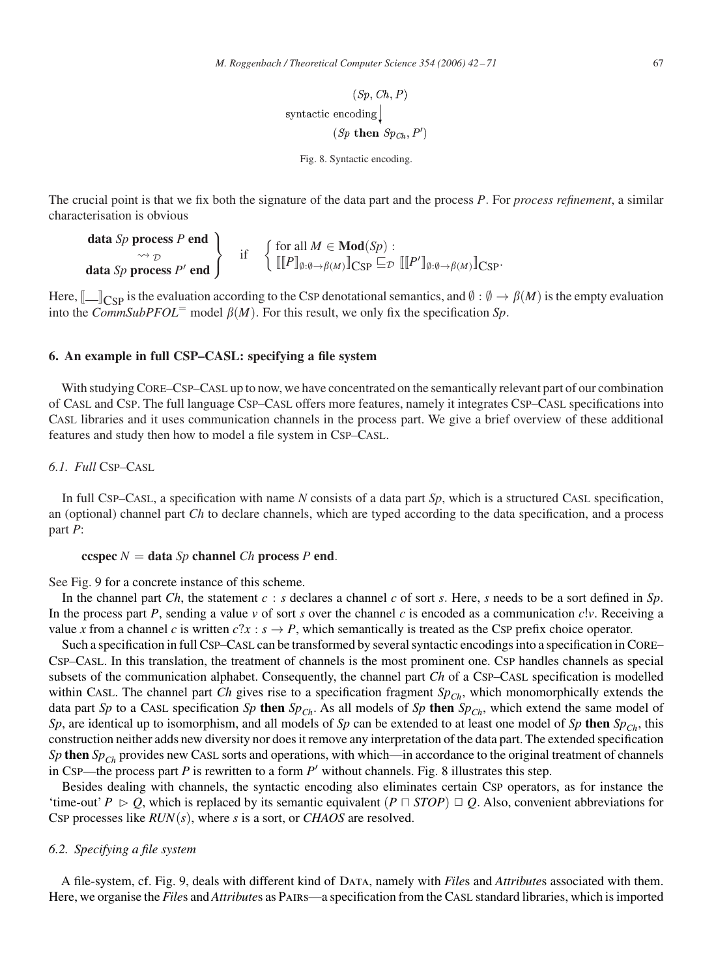$(Sp, \, Ch, \, P)$  syntactic encoding  $\Big\vert$ <br> $(Sp \textbf{ then } Sp_{Ch}, \, P')$ 

Fig. 8. Syntactic encoding.

<span id="page-25-0"></span>The crucial point is that we fix both the signature of the data part and the process *<sup>P</sup>.* For *process refinement*, a similar characterisation is obvious

**data** *Sp* **process** *P* **end**  $\rightsquigarrow$   $\mathcal{D}$ **data** *Sp* **process** *P* **end**  $\mathcal{L}$  $\sqrt{2}$  $\overline{J}$ if  $\left\{\begin{array}{c} \text{for all } M \in \mathbf{Mod}(Sp) : \\ \mathbb{ID} \mathbb{D} \end{array}\right.$  $[[P]\mathbf{C} \otimes \mathbf{C} \otimes \mathbf{C}] \mathbf{C} \otimes \mathbf{C} \mathbf{C} \otimes \mathbf{C} \otimes \mathbf{C} \otimes \mathbf{C} \otimes \mathbf{C} \otimes \mathbf{C} \otimes \mathbf{C} \otimes \mathbf{C} \otimes \mathbf{C} \otimes \mathbf{C} \otimes \mathbf{C} \otimes \mathbf{C} \otimes \mathbf{C} \otimes \mathbf{C} \otimes \mathbf{C} \otimes \mathbf{C} \otimes \mathbf{C} \otimes \mathbf{C} \otimes \mathbf{C} \otimes \mathbf{C} \ot$ 

Here,  $[\_\]_{CSP}$  is the evaluation according to the CSP denotational semantics, and  $\emptyset : \emptyset \to \beta(M)$  is the empty evaluation into the *CommSubPFOL*<sup>=</sup> model  $\beta(M)$ . For this result, we only fix the specification *Sp*.

# **6. An example in full CSP–CASL: specifying a file system**

With studying CORE–CSP–CASL up to now, we have concentrated on the semantically relevant part of our combination of CASL and CSP. The full language CSP–CASL offers more features, namely it integrates CSP–CASL specifications into CASL libraries and it uses communication channels in the process part. We give a brief overview of these additional features and study then how to model a file system in CSP–CASL.

# *6.1. Full* CSP*–*CASL

In full CSP–CASL, a specification with name *N* consists of a data part *Sp*, which is a structured CASL specification, an (optional) channel part *Ch* to declare channels, which are typed according to the data specification, and a process part *P*:

#### **ccspec**  $N =$  **data**  $Sp$  **channel**  $Ch$  **process**  $P$  **end**.

See Fig. [9](#page-26-0) for a concrete instance of this scheme.

In the channel part *Ch*, the statement *<sup>c</sup>* : *<sup>s</sup>* declares a channel *<sup>c</sup>* of sort *<sup>s</sup>.* Here, *<sup>s</sup>* needs to be a sort defined in *Sp.* In the process part *P*, sending a value *v* of sort *s* over the channel *c* is encoded as a communication *c*!*v*. Receiving a value *x* from a channel *c* is written  $c$ ?*x* :  $s \rightarrow P$ , which semantically is treated as the CSP prefix choice operator.

Such a specification in full CSP–CASL can be transformed by several syntactic encodings into a specification in CORE– CSP–CASL. In this translation, the treatment of channels is the most prominent one. CSP handles channels as special subsets of the communication alphabet. Consequently, the channel part *Ch* of a CSP–CASL specification is modelled within CASL. The channel part *Ch* gives rise to a specification fragment  $Sp_{Ch}$ , which monomorphically extends the data part *Sp* to a CASL specification *Sp* then  $Sp_{Ch}$ . As all models of *Sp* then  $Sp_{Ch}$ , which extend the same model of *Sp*, are identical up to isomorphism, and all models of *Sp* can be extended to at least one model of *Sp* then  $Sp_{Ch}$ , this construction neither adds new diversity nor does it remove any interpretation of the data part. The extended specification *Sp* then  $Sp_{Ch}$  provides new CASL sorts and operations, with which—in accordance to the original treatment of channels in CSP—the process part  $P$  is rewritten to a form  $P'$  without channels. Fig. 8 illustrates this step.

Besides dealing with channels, the syntactic encoding also eliminates certain CSP operators, as for instance the 'time-out'  $P \supset Q$ , which is replaced by its semantic equivalent  $(P \cap STOP) \sqcup Q$ . Also, convenient abbreviations for CSP processes like *RUN*(*s*), where *s* is a sort, or *CHAOS* are resolved.

#### *6.2. Specifying a file system*

A file-system, cf. Fig. [9,](#page-26-0) deals with different kind of Data, namely with *File*s and *Attribute*s associated with them. Here, we organise the *File*s and *Attribute*s as Pairs—a specification from the CASL standard libraries, which is imported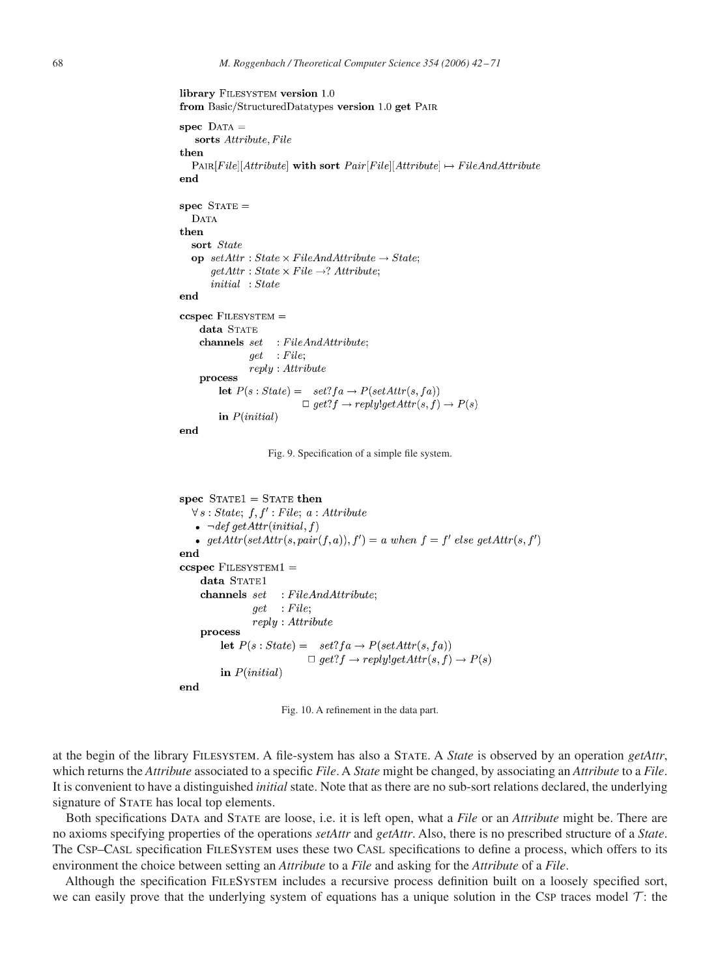```
library FILESYSTEM version 1.0
from Basic/StructuredDatatypes version 1.0 get PAIR
spec DATA =
   sorts Attribute, File
then
  \text{PAR}[File][Attribute] with sort Pair[File][Attribute] \rightarrow FileAndAttributeend
spec STATE =
  DATA
then
  sort State
  op setAttr: State \times FileAndAttribute \rightarrow State:
       qetAttr : State \times File \rightarrow ? Attribute;
       initial \; : Stateend
c<sub>c</sub> cospec FILESYSTEM =data STATE
    channels set : FileAndAttribute;
                get: File;
                reply: Attributeprocess
         let P(s: State) = set? fa \rightarrow P(setAttr(s, fa))\Box get?f \rightarrow reply!getAttr(s, f) \rightarrow P(s)in P (initial)end
```
Fig. 9. Specification of a simple file system.

```
spec STATE1 = STATE then
  \forall s: State; f, f': File; a: Attribute\bullet \ \neg \text{def} \text{getAttr}(\text{initial}, f)• getAttr(setAttr(s, pair(f, a)), f') = a when f = f' else getAttr(s, f')
end
ccspec FILESYSTEM1=data STATE1
     channels set : FileAndAttribute;
                get : File;
                reply:Attributeprocess
         let P(s: State) = set? fa \rightarrow P(setAttr(s, fa))\Box get?f \rightarrow reply!getAttr(s, f) \rightarrow P(s)
         in P (initial)end
```


at the begin of the library Filesystem. A file-system has also a State. A *State* is observed by an operation *getAttr*, which returns the *Attribute* associated to a specific *File*. A *State* might be changed, by associating an *Attribute* to a *File*. It is convenient to have a distinguished *initial* state. Note that as there are no sub-sort relations declared, the underlying signature of STATE has local top elements.

Both specifications Data and State are loose, i.e. it is left open, what a *File* or an *Attribute* might be. There are no axioms specifying properties of the operations *setAttr* and *getAttr*. Also, there is no prescribed structure of a *State*. The CSP–CASL specification FileSystem uses these two CASL specifications to define a process, which offers to its environment the choice between setting an *Attribute* to a *File* and asking for the *Attribute* of a *File*.

Although the specification FileSystem includes a recursive process definition built on a loosely specified sort, we can easily prove that the underlying system of equations has a unique solution in the CSP traces model  $\mathcal{T}$ : the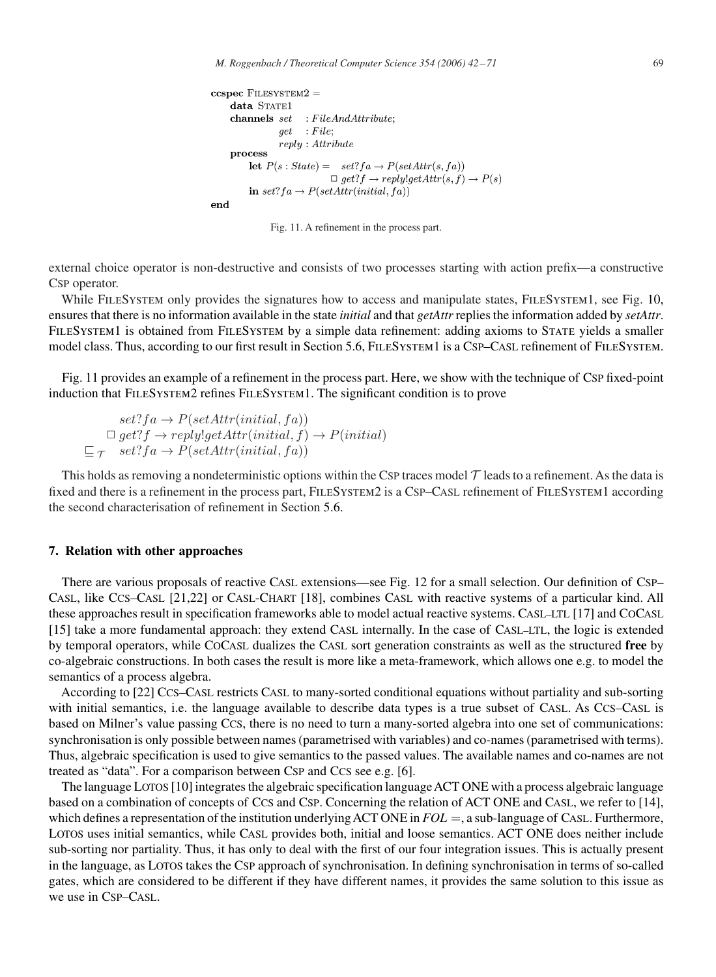```
ccspec FILESYSTEM2=data STATE1
    {\bf channels}\ set\quad : FileAndAttribute;qet: File;reply: Attributeprocess
         let P(s:State) = set?fa \rightarrow P(setAttr(s, fa))\Box get?f \rightarrow reply!getAttr(s, f) \rightarrow P(s)
         in set?fa \rightarrow P(setAttr(inital, fa))end
```
Fig. 11. A refinement in the process part.

external choice operator is non-destructive and consists of two processes starting with action prefix—a constructive CSP operator.

While FILESYSTEM only provides the signatures how to access and manipulate states, FILESYSTEM1, see Fig. [10,](#page-26-0) ensures that there is no information available in the state *initial* and that *getAttr*replies the information added by *setAttr*. FILESYSTEM1 is obtained from FILESYSTEM by a simple data refinement: adding axioms to STATE yields a smaller model class. Thus, according to our first result in Section [5.6,](#page-24-0) FILESYSTEM1 is a CSP–CASL refinement of FILESYSTEM.

Fig. 11 provides an example of a refinement in the process part. Here, we show with the technique of CSP fixed-point induction that FileSystem2 refines FileSystem1. The significant condition is to prove

 $set?fa \rightarrow P(setAttr(intial, fa))$ <br>  $set?f \rightarrow replylast After (initial, f)$  $\Box$  get? $f \rightarrow reply!getAttr(nitial, f) \rightarrow P(initial)$ <br>  $set$ ? $f \circ f \rightarrow P(set^{\text{A}}Atr (initial, fa))$  $\sqsubseteq \tau$  *set*?*fa*  $\rightarrow$  *P*(*setAttr*(*initial*, *fa*))

This holds as removing a nondeterministic options within the CSP traces model  $\mathcal T$  leads to a refinement. As the data is fixed and there is a refinement in the process part, FILESYSTEM2 is a CSP–CASL refinement of FILESYSTEM1 according the second characterisation of refinement in Section [5.6.](#page-24-0)

#### **7. Relation with other approaches**

There are various proposals of reactive CASL extensions—see Fig. [12](#page-28-0) for a small selection. Our definition of CSP– CASL, like CCS–CASL [\[21,22\]](#page-29-0) or CASL-CHART [\[18\],](#page-29-0) combines CASL with reactive systems of a particular kind. All these approaches result in specification frameworks able to model actual reactive systems. CASL–LTL [\[17\]](#page-29-0) and COCASL [\[15\]](#page-29-0) take a more fundamental approach: they extend CASL internally. In the case of CASL–LTL, the logic is extended by temporal operators, while COCASL dualizes the CASL sort generation constraints as well as the structured **free** by co-algebraic constructions. In both cases the result is more like a meta-framework, which allows one e.g. to model the semantics of a process algebra.

According to [\[22\]](#page-29-0) CCS–CASL restricts CASL to many-sorted conditional equations without partiality and sub-sorting with initial semantics, i.e. the language available to describe data types is a true subset of CASL. As CCS–CASL is based on Milner's value passing CCS, there is no need to turn a many-sorted algebra into one set of communications: synchronisation is only possible between names (parametrised with variables) and co-names (parametrised with terms). Thus, algebraic specification is used to give semantics to the passed values. The available names and co-names are not treated as "data". For a comparison between CSP and CCS see e.g. [\[6\].](#page-29-0)

The language LOTOS [\[10\]](#page-29-0) integrates the algebraic specification language ACT ONE with a process algebraic language based on a combination of concepts of CCS and CSP. Concerning the relation of ACT ONE and CASL, we refer to [\[14\],](#page-29-0) which defines a representation of the institution underlying ACT ONE in *FOL* =, a sub-language of CASL. Furthermore, LOTOS uses initial semantics, while CASL provides both, initial and loose semantics. ACT ONE does neither include sub-sorting nor partiality. Thus, it has only to deal with the first of our four integration issues. This is actually present in the language, as LOTOS takes the CSP approach of synchronisation. In defining synchronisation in terms of so-called gates, which are considered to be different if they have different names, it provides the same solution to this issue as we use in CSP–CASL.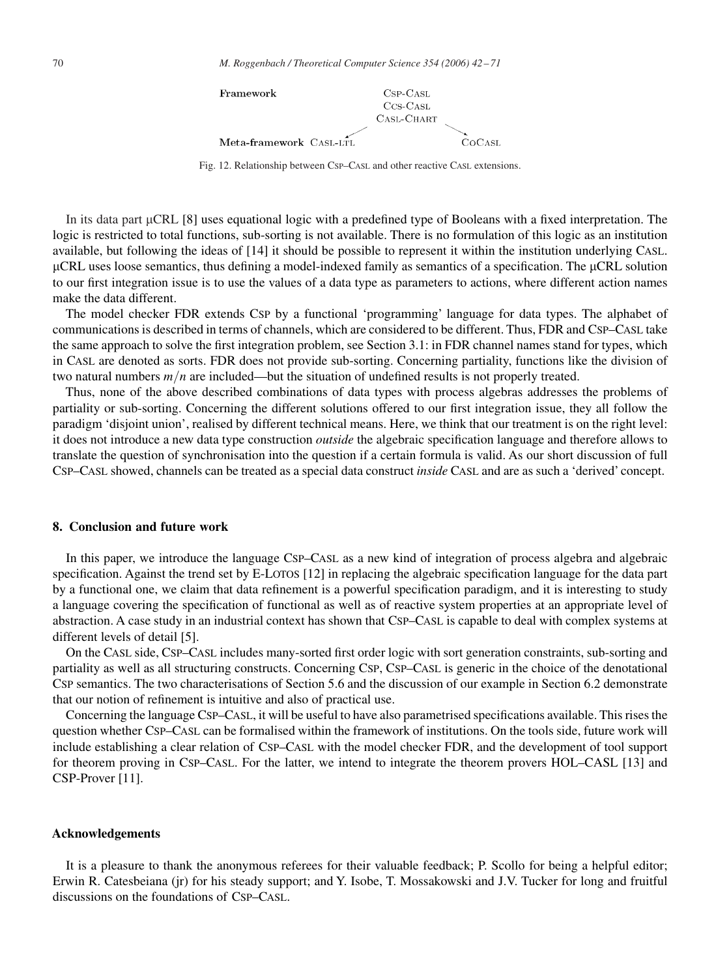<span id="page-28-0"></span>

Fig. 12. Relationship between CSP–CASL and other reactive CASL extensions.

In its data part  $\mu$ CRL [\[8\]](#page-29-0) uses equational logic with a predefined type of Booleans with a fixed interpretation. The logic is restricted to total functions, sub-sorting is not available. There is no formulation of this logic as an institution available, but following the ideas of [\[14\]](#page-29-0) it should be possible to represent it within the institution underlying CASL.  $\mu$ CRL uses loose semantics, thus defining a model-indexed family as semantics of a specification. The  $\mu$ CRL solution to our first integration issue is to use the values of a data type as parameters to actions, where different action names make the data different.

The model checker FDR extends CSP by a functional 'programming' language for data types. The alphabet of communications is described in terms of channels, which are considered to be different. Thus, FDR and CSP–CASL take the same approach to solve the first integration problem, see Section [3.1:](#page-3-0) in FDR channel names stand for types, which in CASL are denoted as sorts. FDR does not provide sub-sorting. Concerning partiality, functions like the division of two natural numbers *<sup>m</sup>/<sup>n</sup>* are included—but the situation of undefined results is not properly treated.

Thus, none of the above described combinations of data types with process algebras addresses the problems of partiality or sub-sorting. Concerning the different solutions offered to our first integration issue, they all follow the paradigm 'disjoint union', realised by different technical means. Here, we think that our treatment is on the right level: it does not introduce a new data type construction *outside* the algebraic specification language and therefore allows to translate the question of synchronisation into the question if a certain formula is valid. As our short discussion of full CSP–CASL showed, channels can be treated as a special data construct *inside* CASL and are as such a 'derived' concept.

# **8. Conclusion and future work**

In this paper, we introduce the language CSP–CASL as a new kind of integration of process algebra and algebraic specification. Against the trend set by E-LOTOS [\[12\]](#page-29-0) in replacing the algebraic specification language for the data part by a functional one, we claim that data refinement is a powerful specification paradigm, and it is interesting to study a language covering the specification of functional as well as of reactive system properties at an appropriate level of abstraction. A case study in an industrial context has shown that CSP–CASL is capable to deal with complex systems at different levels of detail [\[5\].](#page-29-0)

On the CASL side, CSP–CASL includes many-sorted first order logic with sort generation constraints, sub-sorting and partiality as well as all structuring constructs. Concerning CSP, CSP–CASL is generic in the choice of the denotational CSP semantics. The two characterisations of Section [5.6](#page-24-0) and the discussion of our example in Section [6.2](#page-25-0) demonstrate that our notion of refinement is intuitive and also of practical use.

Concerning the language CSP–CASL, it will be useful to have also parametrised specifications available. This rises the question whether CSP–CASL can be formalised within the framework of institutions. On the tools side, future work will include establishing a clear relation of CSP–CASL with the model checker FDR, and the development of tool support for theorem proving in CSP–CASL. For the latter, we intend to integrate the theorem provers HOL–CASL [\[13\]](#page-29-0) and CSP-Prover [\[11\].](#page-29-0)

# **Acknowledgements**

It is a pleasure to thank the anonymous referees for their valuable feedback; P. Scollo for being a helpful editor; Erwin R. Catesbeiana (jr) for his steady support; and Y. Isobe, T. Mossakowski and J.V. Tucker for long and fruitful discussions on the foundations of CSP–CASL.